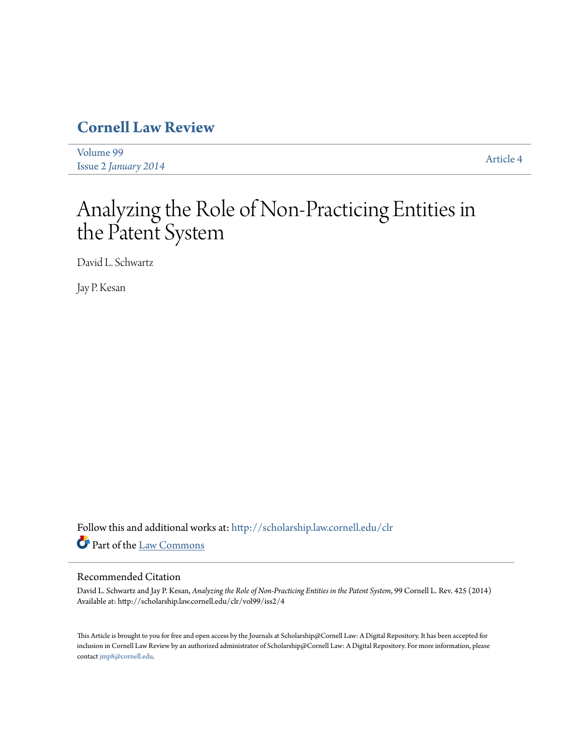# **[Cornell Law Review](http://scholarship.law.cornell.edu/clr?utm_source=scholarship.law.cornell.edu%2Fclr%2Fvol99%2Fiss2%2F4&utm_medium=PDF&utm_campaign=PDFCoverPages)**

[Volume 99](http://scholarship.law.cornell.edu/clr/vol99?utm_source=scholarship.law.cornell.edu%2Fclr%2Fvol99%2Fiss2%2F4&utm_medium=PDF&utm_campaign=PDFCoverPages) Issue 2 *[January 2014](http://scholarship.law.cornell.edu/clr/vol99/iss2?utm_source=scholarship.law.cornell.edu%2Fclr%2Fvol99%2Fiss2%2F4&utm_medium=PDF&utm_campaign=PDFCoverPages)* [Article 4](http://scholarship.law.cornell.edu/clr/vol99/iss2/4?utm_source=scholarship.law.cornell.edu%2Fclr%2Fvol99%2Fiss2%2F4&utm_medium=PDF&utm_campaign=PDFCoverPages)

# Analyzing the Role of Non-Practicing Entities in the Patent System

David L. Schwartz

Jay P. Kesan

Follow this and additional works at: [http://scholarship.law.cornell.edu/clr](http://scholarship.law.cornell.edu/clr?utm_source=scholarship.law.cornell.edu%2Fclr%2Fvol99%2Fiss2%2F4&utm_medium=PDF&utm_campaign=PDFCoverPages) Part of the [Law Commons](http://network.bepress.com/hgg/discipline/578?utm_source=scholarship.law.cornell.edu%2Fclr%2Fvol99%2Fiss2%2F4&utm_medium=PDF&utm_campaign=PDFCoverPages)

# Recommended Citation

David L. Schwartz and Jay P. Kesan, *Analyzing the Role of Non-Practicing Entities in the Patent System*, 99 Cornell L. Rev. 425 (2014) Available at: http://scholarship.law.cornell.edu/clr/vol99/iss2/4

This Article is brought to you for free and open access by the Journals at Scholarship@Cornell Law: A Digital Repository. It has been accepted for inclusion in Cornell Law Review by an authorized administrator of Scholarship@Cornell Law: A Digital Repository. For more information, please contact [jmp8@cornell.edu.](mailto:jmp8@cornell.edu)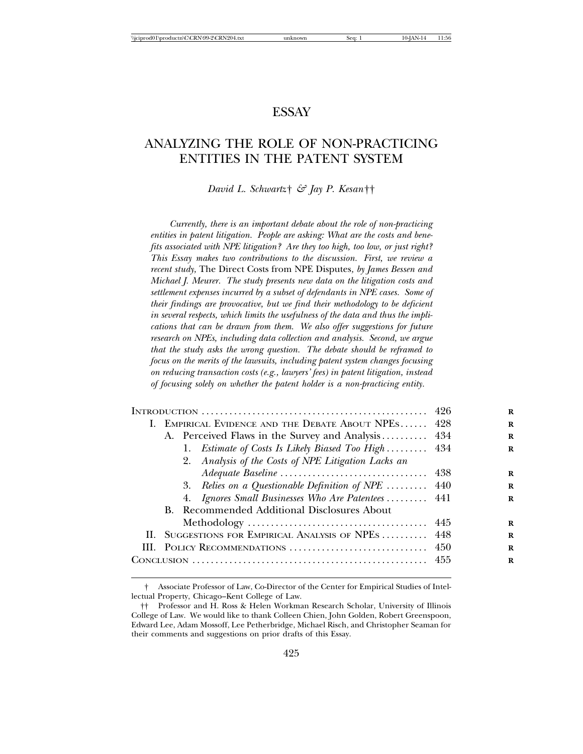# ESSAY

# ANALYZING THE ROLE OF NON-PRACTICING ENTITIES IN THE PATENT SYSTEM

*David L. Schwartz*† *& Jay P. Kesan*††

*Currently, there is an important debate about the role of non-practicing entities in patent litigation. People are asking: What are the costs and benefits associated with NPE litigation? Are they too high, too low, or just right? This Essay makes two contributions to the discussion. First, we review a recent study,* The Direct Costs from NPE Disputes*, by James Bessen and Michael J. Meurer. The study presents new data on the litigation costs and settlement expenses incurred by a subset of defendants in NPE cases. Some of their findings are provocative, but we find their methodology to be deficient in several respects, which limits the usefulness of the data and thus the implications that can be drawn from them. We also offer suggestions for future research on NPEs, including data collection and analysis. Second, we argue that the study asks the wrong question. The debate should be reframed to focus on the merits of the lawsuits, including patent system changes focusing on reducing transaction costs (e.g., lawyers' fees) in patent litigation, instead of focusing solely on whether the patent holder is a non-practicing entity.*

|  |                                                     | I. EMPIRICAL EVIDENCE AND THE DEBATE ABOUT NPES 428 |  |
|--|-----------------------------------------------------|-----------------------------------------------------|--|
|  |                                                     | A. Perceived Flaws in the Survey and Analysis 434   |  |
|  |                                                     | 1. Estimate of Costs Is Likely Biased Too High  434 |  |
|  |                                                     | 2. Analysis of the Costs of NPE Litigation Lacks an |  |
|  |                                                     |                                                     |  |
|  |                                                     | 3. Relies on a Questionable Definition of NPE  440  |  |
|  |                                                     | 4. Ignores Small Businesses Who Are Patentees  441  |  |
|  |                                                     | B. Recommended Additional Disclosures About         |  |
|  |                                                     |                                                     |  |
|  | II. SUGGESTIONS FOR EMPIRICAL ANALYSIS OF NPES  448 |                                                     |  |
|  |                                                     |                                                     |  |
|  |                                                     |                                                     |  |
|  |                                                     |                                                     |  |

<sup>†</sup> Associate Professor of Law, Co-Director of the Center for Empirical Studies of Intellectual Property, Chicago–Kent College of Law.

<sup>††</sup> Professor and H. Ross & Helen Workman Research Scholar, University of Illinois College of Law. We would like to thank Colleen Chien, John Golden, Robert Greenspoon, Edward Lee, Adam Mossoff, Lee Petherbridge, Michael Risch, and Christopher Seaman for their comments and suggestions on prior drafts of this Essay.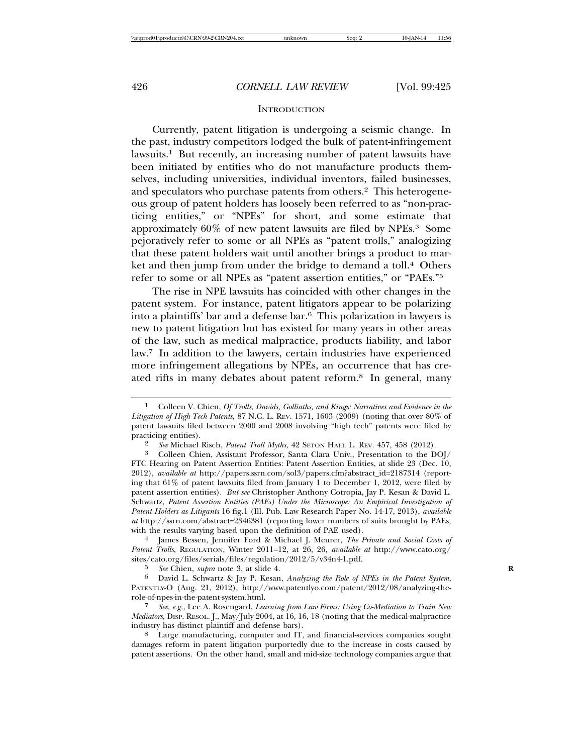#### **INTRODUCTION**

Currently, patent litigation is undergoing a seismic change. In the past, industry competitors lodged the bulk of patent-infringement lawsuits.<sup>1</sup> But recently, an increasing number of patent lawsuits have been initiated by entities who do not manufacture products themselves, including universities, individual inventors, failed businesses, and speculators who purchase patents from others.2 This heterogeneous group of patent holders has loosely been referred to as "non-practicing entities," or "NPEs" for short, and some estimate that approximately 60% of new patent lawsuits are filed by NPEs.3 Some pejoratively refer to some or all NPEs as "patent trolls," analogizing that these patent holders wait until another brings a product to market and then jump from under the bridge to demand a toll.<sup>4</sup> Others refer to some or all NPEs as "patent assertion entities," or "PAEs."5

The rise in NPE lawsuits has coincided with other changes in the patent system. For instance, patent litigators appear to be polarizing into a plaintiffs' bar and a defense bar.6 This polarization in lawyers is new to patent litigation but has existed for many years in other areas of the law, such as medical malpractice, products liability, and labor law.7 In addition to the lawyers, certain industries have experienced more infringement allegations by NPEs, an occurrence that has created rifts in many debates about patent reform.8 In general, many

*Patent Trolls*, REGULATION, Winter 2011–12, at 26, 26, *available at* http://www.cato.org/ sites/cato.org/files/serials/files/regulation/2012/5/v34n4-1.pdf.

5 *See* Chien, *supra* note 3, at slide 4. **R**

6 David L. Schwartz & Jay P. Kesan, *Analyzing the Role of NPEs in the Patent System*, PATENTLY-O (Aug. 21, 2012), http://www.patentlyo.com/patent/2012/08/analyzing-therole-of-npes-in-the-patent-system.html.

7 *See, e.g.*, Lee A. Rosengard, *Learning from Law Firms: Using Co-Mediation to Train New Mediators*, DISP. RESOL. J., May/July 2004, at 16, 16, 18 (noting that the medical-malpractice industry has distinct plaintiff and defense bars). <sup>8</sup> Large manufacturing, computer and IT, and financial-services companies sought

damages reform in patent litigation purportedly due to the increase in costs caused by patent assertions. On the other hand, small and mid-size technology companies argue that

<sup>1</sup> Colleen V. Chien, *Of Trolls, Davids, Golliaths, and Kings: Narratives and Evidence in the Litigation of High-Tech Patents*, 87 N.C. L. REV. 1571, 1603 (2009) (noting that over 80% of patent lawsuits filed between 2000 and 2008 involving "high tech" patents were filed by practicing entities).

<sup>2</sup> *See* Michael Risch, *Patent Troll Myths*, 42 SETON HALL L. REV. 457, 458 (2012). <sup>3</sup> Colleen Chien, Assistant Professor, Santa Clara Univ., Presentation to the DOJ/

FTC Hearing on Patent Assertion Entities: Patent Assertion Entities, at slide 23 (Dec. 10, 2012), *available at* http://papers.ssrn.com/sol3/papers.cfm?abstract\_id=2187314 (reporting that 61% of patent lawsuits filed from January 1 to December 1, 2012, were filed by patent assertion entities). *But see* Christopher Anthony Cotropia, Jay P. Kesan & David L. Schwartz, *Patent Assertion Entities (PAEs) Under the Microscope: An Empirical Investigation of Patent Holders as Litigants* 16 fig.1 (Ill. Pub. Law Research Paper No. 14-17, 2013), *available at* http://ssrn.com/abstract=2346381 (reporting lower numbers of suits brought by PAEs, with the results varying based upon the definition of PAE used). <sup>4</sup> James Bessen, Jennifer Ford & Michael J. Meurer, *The Private and Social Costs of*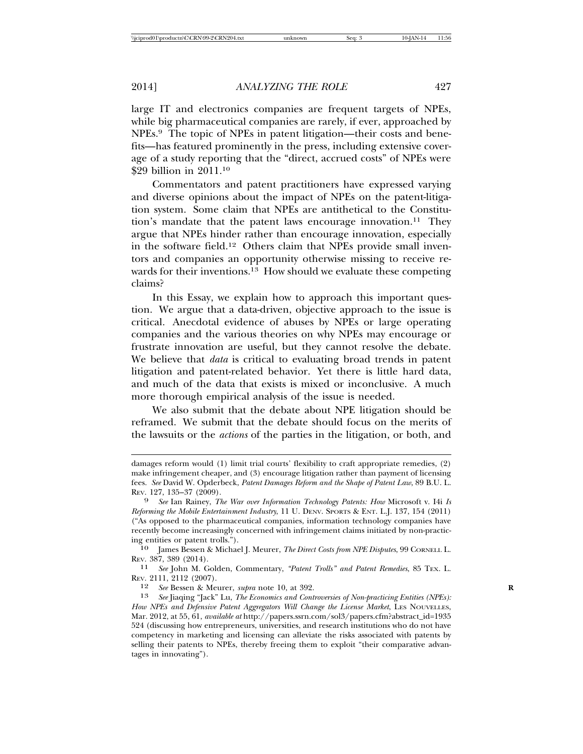large IT and electronics companies are frequent targets of NPEs, while big pharmaceutical companies are rarely, if ever, approached by NPEs.9 The topic of NPEs in patent litigation—their costs and benefits—has featured prominently in the press, including extensive coverage of a study reporting that the "direct, accrued costs" of NPEs were \$29 billion in 2011.10

Commentators and patent practitioners have expressed varying and diverse opinions about the impact of NPEs on the patent-litigation system. Some claim that NPEs are antithetical to the Constitution's mandate that the patent laws encourage innovation.11 They argue that NPEs hinder rather than encourage innovation, especially in the software field.12 Others claim that NPEs provide small inventors and companies an opportunity otherwise missing to receive rewards for their inventions.<sup>13</sup> How should we evaluate these competing claims?

In this Essay, we explain how to approach this important question. We argue that a data-driven, objective approach to the issue is critical. Anecdotal evidence of abuses by NPEs or large operating companies and the various theories on why NPEs may encourage or frustrate innovation are useful, but they cannot resolve the debate. We believe that *data* is critical to evaluating broad trends in patent litigation and patent-related behavior. Yet there is little hard data, and much of the data that exists is mixed or inconclusive. A much more thorough empirical analysis of the issue is needed.

We also submit that the debate about NPE litigation should be reframed. We submit that the debate should focus on the merits of the lawsuits or the *actions* of the parties in the litigation, or both, and

10 James Bessen & Michael J. Meurer, *The Direct Costs from NPE Disputes*, 99 CORNELL L. REV. 387, 389 (2014).

11 *See* John M. Golden, Commentary, *"Patent Trolls" and Patent Remedies*, 85 TEX. L. REV. 2111, 2112 (2007).<br>12 See Bessen & Me

12 *See* Bessen & Meurer, *supra* note 10, at 392. **R**

damages reform would (1) limit trial courts' flexibility to craft appropriate remedies, (2) make infringement cheaper, and (3) encourage litigation rather than payment of licensing fees. *See* David W. Opderbeck, *Patent Damages Reform and the Shape of Patent Law*, 89 B.U. L. REV. 127, 135–37 (2009).

<sup>9</sup> *See* Ian Rainey, *The War over Information Technology Patents: How* Microsoft v. I4i *Is Reforming the Mobile Entertainment Industry*, 11 U. DENV. SPORTS & ENT. L.J. 137, 154 (2011) ("As opposed to the pharmaceutical companies, information technology companies have recently become increasingly concerned with infringement claims initiated by non-practicing entities or patent trolls.").

<sup>13</sup> *See* Jiaqing "Jack" Lu, *The Economics and Controversies of Non-practicing Entities (NPEs): How NPEs and Defensive Patent Aggregators Will Change the License Market*, LES NOUVELLES, Mar. 2012, at 55, 61, *available at* http://papers.ssrn.com/sol3/papers.cfm?abstract\_id=1935 524 (discussing how entrepreneurs, universities, and research institutions who do not have competency in marketing and licensing can alleviate the risks associated with patents by selling their patents to NPEs, thereby freeing them to exploit "their comparative advantages in innovating").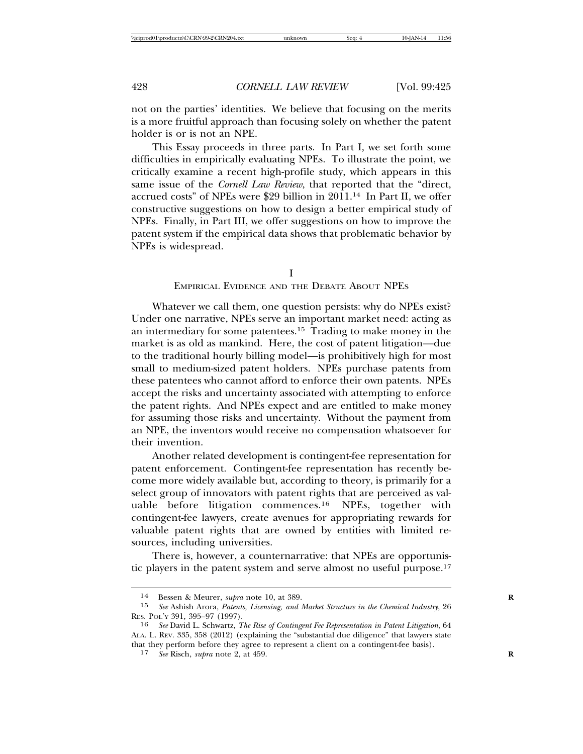not on the parties' identities. We believe that focusing on the merits is a more fruitful approach than focusing solely on whether the patent holder is or is not an NPE.

This Essay proceeds in three parts. In Part I, we set forth some difficulties in empirically evaluating NPEs. To illustrate the point, we critically examine a recent high-profile study, which appears in this same issue of the *Cornell Law Review*, that reported that the "direct, accrued costs" of NPEs were \$29 billion in 2011.14 In Part II, we offer constructive suggestions on how to design a better empirical study of NPEs. Finally, in Part III, we offer suggestions on how to improve the patent system if the empirical data shows that problematic behavior by NPEs is widespread.

I

# EMPIRICAL EVIDENCE AND THE DEBATE ABOUT NPES

Whatever we call them, one question persists: why do NPEs exist? Under one narrative, NPEs serve an important market need: acting as an intermediary for some patentees.15 Trading to make money in the market is as old as mankind. Here, the cost of patent litigation—due to the traditional hourly billing model—is prohibitively high for most small to medium-sized patent holders. NPEs purchase patents from these patentees who cannot afford to enforce their own patents. NPEs accept the risks and uncertainty associated with attempting to enforce the patent rights. And NPEs expect and are entitled to make money for assuming those risks and uncertainty. Without the payment from an NPE, the inventors would receive no compensation whatsoever for their invention.

Another related development is contingent-fee representation for patent enforcement. Contingent-fee representation has recently become more widely available but, according to theory, is primarily for a select group of innovators with patent rights that are perceived as valuable before litigation commences.16 NPEs, together with contingent-fee lawyers, create avenues for appropriating rewards for valuable patent rights that are owned by entities with limited resources, including universities.

There is, however, a counternarrative: that NPEs are opportunistic players in the patent system and serve almost no useful purpose.17

<sup>14</sup> Bessen & Meurer, *supra* note 10, at 389.

<sup>15</sup> *See* Ashish Arora, *Patents, Licensing, and Market Structure in the Chemical Industry*, 26 RES. POL'Y 391, 395–97 (1997).

<sup>16</sup> *See* David L. Schwartz, *The Rise of Contingent Fee Representation in Patent Litigation*, 64 ALA. L. REV. 335, 358 (2012) (explaining the "substantial due diligence" that lawyers state that they perform before they agree to represent a client on a contingent-fee basis).

<sup>17</sup> *See* Risch, *supra* note 2, at 459. **R**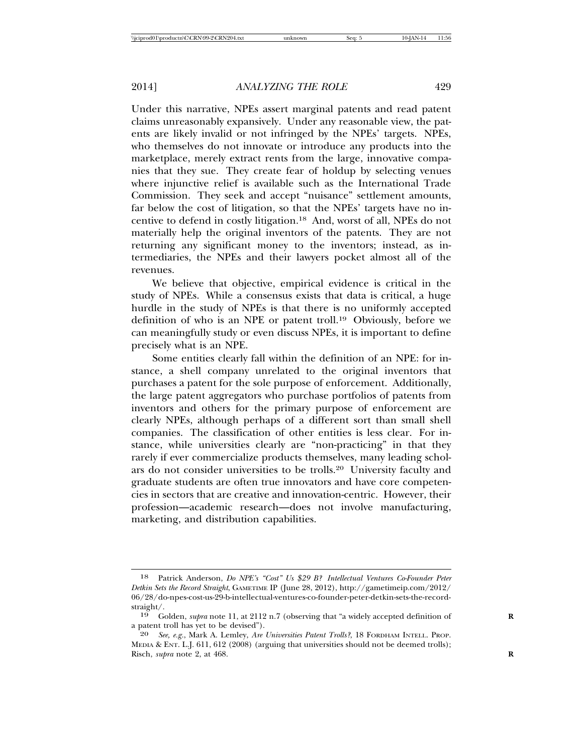Under this narrative, NPEs assert marginal patents and read patent claims unreasonably expansively. Under any reasonable view, the patents are likely invalid or not infringed by the NPEs' targets. NPEs, who themselves do not innovate or introduce any products into the marketplace, merely extract rents from the large, innovative companies that they sue. They create fear of holdup by selecting venues where injunctive relief is available such as the International Trade Commission. They seek and accept "nuisance" settlement amounts, far below the cost of litigation, so that the NPEs' targets have no incentive to defend in costly litigation.18 And, worst of all, NPEs do not materially help the original inventors of the patents. They are not returning any significant money to the inventors; instead, as intermediaries, the NPEs and their lawyers pocket almost all of the revenues.

We believe that objective, empirical evidence is critical in the study of NPEs. While a consensus exists that data is critical, a huge hurdle in the study of NPEs is that there is no uniformly accepted definition of who is an NPE or patent troll.19 Obviously, before we can meaningfully study or even discuss NPEs, it is important to define precisely what is an NPE.

Some entities clearly fall within the definition of an NPE: for instance, a shell company unrelated to the original inventors that purchases a patent for the sole purpose of enforcement. Additionally, the large patent aggregators who purchase portfolios of patents from inventors and others for the primary purpose of enforcement are clearly NPEs, although perhaps of a different sort than small shell companies. The classification of other entities is less clear. For instance, while universities clearly are "non-practicing" in that they rarely if ever commercialize products themselves, many leading scholars do not consider universities to be trolls.20 University faculty and graduate students are often true innovators and have core competencies in sectors that are creative and innovation-centric. However, their profession—academic research—does not involve manufacturing, marketing, and distribution capabilities.

<sup>18</sup> Patrick Anderson, *Do NPE's "Cost" Us \$29 B? Intellectual Ventures Co-Founder Peter Detkin Sets the Record Straight*, GAMETIME IP (June 28, 2012), http://gametimeip.com/2012/ 06/28/do-npes-cost-us-29-b-intellectual-ventures-co-founder-peter-detkin-sets-the-recordstraight/.

<sup>19</sup> Golden, *supra* note 11, at 2112 n.7 (observing that "a widely accepted definition of **R** a patent troll has yet to be devised").

<sup>20</sup> *See, e.g.*, Mark A. Lemley, *Are Universities Patent Trolls?*, 18 FORDHAM INTELL. PROP. MEDIA & ENT. L.J. 611, 612 (2008) (arguing that universities should not be deemed trolls); Risch, *supra* note 2, at 468. **R**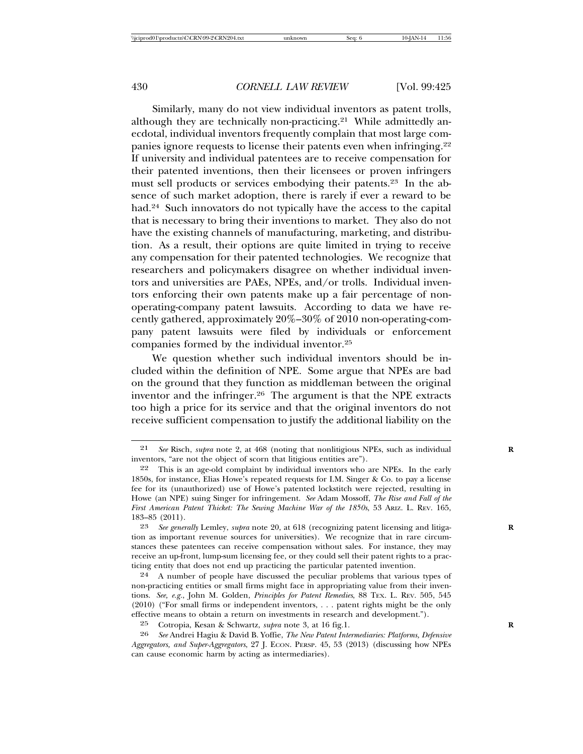Similarly, many do not view individual inventors as patent trolls, although they are technically non-practicing.<sup>21</sup> While admittedly anecdotal, individual inventors frequently complain that most large companies ignore requests to license their patents even when infringing.22 If university and individual patentees are to receive compensation for their patented inventions, then their licensees or proven infringers must sell products or services embodying their patents.23 In the absence of such market adoption, there is rarely if ever a reward to be had.24 Such innovators do not typically have the access to the capital that is necessary to bring their inventions to market. They also do not have the existing channels of manufacturing, marketing, and distribution. As a result, their options are quite limited in trying to receive any compensation for their patented technologies. We recognize that researchers and policymakers disagree on whether individual inventors and universities are PAEs, NPEs, and/or trolls. Individual inventors enforcing their own patents make up a fair percentage of nonoperating-company patent lawsuits. According to data we have recently gathered, approximately 20%–30% of 2010 non-operating-company patent lawsuits were filed by individuals or enforcement companies formed by the individual inventor.25

We question whether such individual inventors should be included within the definition of NPE. Some argue that NPEs are bad on the ground that they function as middleman between the original inventor and the infringer.<sup>26</sup> The argument is that the NPE extracts too high a price for its service and that the original inventors do not receive sufficient compensation to justify the additional liability on the

23 *See generally* Lemley, *supra* note 20, at 618 (recognizing patent licensing and litiga- **R** tion as important revenue sources for universities). We recognize that in rare circumstances these patentees can receive compensation without sales. For instance, they may receive an up-front, lump-sum licensing fee, or they could sell their patent rights to a practicing entity that does not end up practicing the particular patented invention.

24 A number of people have discussed the peculiar problems that various types of non-practicing entities or small firms might face in appropriating value from their inventions. *See, e.g.*, John M. Golden, *Principles for Patent Remedies*, 88 TEX. L. REV. 505, 545 (2010) ("For small firms or independent inventors, . . . patent rights might be the only effective means to obtain a return on investments in research and development.").

25 Cotropia, Kesan & Schwartz, *supra* note 3, at 16 fig.1. **R**

26 *See* Andrei Hagiu & David B. Yoffie, *The New Patent Intermediaries: Platforms, Defensive Aggregators, and Super-Aggregators*, 27 J. ECON. PERSP. 45, 53 (2013) (discussing how NPEs can cause economic harm by acting as intermediaries).

<sup>21</sup> *See* Risch, *supra* note 2, at 468 (noting that nonlitigious NPEs, such as individual **R** inventors, "are not the object of scorn that litigious entities are").

<sup>22</sup> This is an age-old complaint by individual inventors who are NPEs. In the early 1850s, for instance, Elias Howe's repeated requests for I.M. Singer & Co. to pay a license fee for its (unauthorized) use of Howe's patented lockstitch were rejected, resulting in Howe (an NPE) suing Singer for infringement. *See* Adam Mossoff, *The Rise and Fall of the First American Patent Thicket: The Sewing Machine War of the 1850s*, 53 ARIZ. L. REV. 165, 183–85 (2011).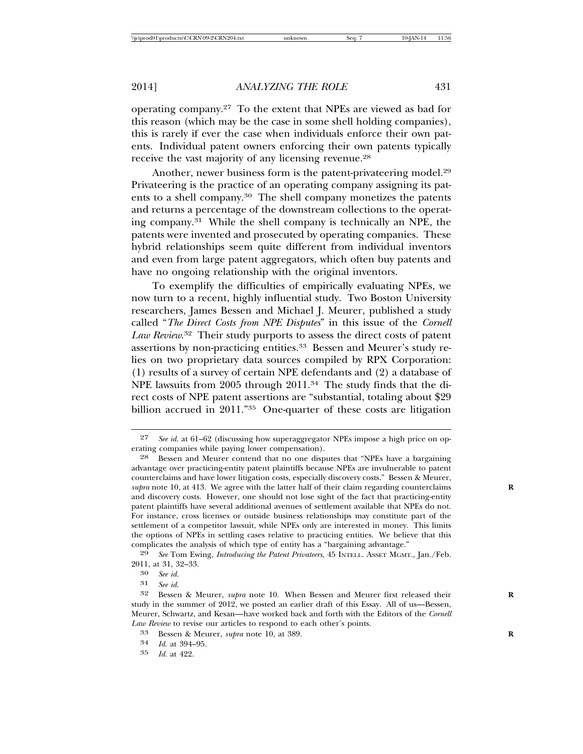operating company.27 To the extent that NPEs are viewed as bad for this reason (which may be the case in some shell holding companies), this is rarely if ever the case when individuals enforce their own patents. Individual patent owners enforcing their own patents typically receive the vast majority of any licensing revenue.28

Another, newer business form is the patent-privateering model.<sup>29</sup> Privateering is the practice of an operating company assigning its patents to a shell company.30 The shell company monetizes the patents and returns a percentage of the downstream collections to the operating company.31 While the shell company is technically an NPE, the patents were invented and prosecuted by operating companies. These hybrid relationships seem quite different from individual inventors and even from large patent aggregators, which often buy patents and have no ongoing relationship with the original inventors.

To exemplify the difficulties of empirically evaluating NPEs, we now turn to a recent, highly influential study. Two Boston University researchers, James Bessen and Michael J. Meurer, published a study called "*The Direct Costs from NPE Disputes*" in this issue of the *Cornell Law Review*. 32 Their study purports to assess the direct costs of patent assertions by non-practicing entities.33 Bessen and Meurer's study relies on two proprietary data sources compiled by RPX Corporation: (1) results of a survey of certain NPE defendants and (2) a database of NPE lawsuits from 2005 through 2011.34 The study finds that the direct costs of NPE patent assertions are "substantial, totaling about \$29 billion accrued in 2011."35 One-quarter of these costs are litigation

<sup>27</sup> *See id.* at 61–62 (discussing how superaggregator NPEs impose a high price on operating companies while paying lower compensation).

Bessen and Meurer contend that no one disputes that "NPEs have a bargaining advantage over practicing-entity patent plaintiffs because NPEs are invulnerable to patent counterclaims and have lower litigation costs, especially discovery costs." Bessen & Meurer, *supra* note 10, at 413. We agree with the latter half of their claim regarding counterclaims **R** and discovery costs. However, one should not lose sight of the fact that practicing-entity patent plaintiffs have several additional avenues of settlement available that NPEs do not. For instance, cross licenses or outside business relationships may constitute part of the settlement of a competitor lawsuit, while NPEs only are interested in money. This limits the options of NPEs in settling cases relative to practicing entities. We believe that this complicates the analysis of which type of entity has a "bargaining advantage."

<sup>29</sup> *See* Tom Ewing, *Introducing the Patent Privateers*, 45 INTELL. ASSET MGMT., Jan./Feb. 2011, at 31, 32–33.

<sup>30</sup> *See id.*

<sup>31</sup> *See id.*

Bessen & Meurer, *supra* note 10. When Bessen and Meurer first released their study in the summer of 2012, we posted an earlier draft of this Essay. All of us—Bessen, Meurer, Schwartz, and Kesan—have worked back and forth with the Editors of the *Cornell Law Review* to revise our articles to respond to each other's points.

<sup>33</sup> Bessen & Meurer, *supra* note 10, at 389. **R**

<sup>34</sup> *Id.* at 394–95.

<sup>35</sup> *Id.* at 422.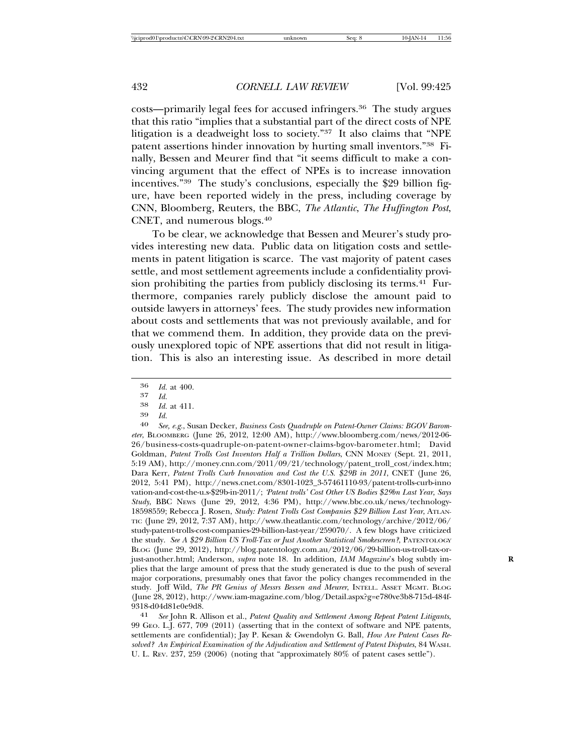costs—primarily legal fees for accused infringers.36 The study argues that this ratio "implies that a substantial part of the direct costs of NPE litigation is a deadweight loss to society."37 It also claims that "NPE patent assertions hinder innovation by hurting small inventors."38 Finally, Bessen and Meurer find that "it seems difficult to make a convincing argument that the effect of NPEs is to increase innovation incentives."39 The study's conclusions, especially the \$29 billion figure, have been reported widely in the press, including coverage by CNN, Bloomberg, Reuters, the BBC, *The Atlantic*, *The Huffington Post*, CNET, and numerous blogs.40

To be clear, we acknowledge that Bessen and Meurer's study provides interesting new data. Public data on litigation costs and settlements in patent litigation is scarce. The vast majority of patent cases settle, and most settlement agreements include a confidentiality provision prohibiting the parties from publicly disclosing its terms.<sup>41</sup> Furthermore, companies rarely publicly disclose the amount paid to outside lawyers in attorneys' fees. The study provides new information about costs and settlements that was not previously available, and for that we commend them. In addition, they provide data on the previously unexplored topic of NPE assertions that did not result in litigation. This is also an interesting issue. As described in more detail

<sup>37</sup> *Id.* <sup>38</sup> *Id.* at 411. <sup>39</sup> *Id.* <sup>40</sup> *See, e.g.*, Susan Decker, *Business Costs Quadruple on Patent-Owner Claims: BGOV Barometer*, BLOOMBERG (June 26, 2012, 12:00 AM), http://www.bloomberg.com/news/2012-06- 26/business-costs-quadruple-on-patent-owner-claims-bgov-barometer.html; David Goldman, *Patent Trolls Cost Inventors Half a Trillion Dollars*, CNN MONEY (Sept. 21, 2011, 5:19 AM), http://money.cnn.com/2011/09/21/technology/patent\_troll\_cost/index.htm; Dara Kerr, *Patent Trolls Curb Innovation and Cost the U.S. \$29B in 2011*, CNET (June 26, 2012, 5:41 PM), http://news.cnet.com/8301-1023\_3-57461110-93/patent-trolls-curb-inno vation-and-cost-the-u.s-\$29b-in-2011/; *'Patent trolls' Cost Other US Bodies \$29bn Last Year, Says Study*, BBC NEWS (June 29, 2012, 4:36 PM), http://www.bbc.co.uk/news/technology-18598559; Rebecca J. Rosen, *Study: Patent Trolls Cost Companies \$29 Billion Last Year*, ATLAN-TIC (June 29, 2012, 7:37 AM), http://www.theatlantic.com/technology/archive/2012/06/ study-patent-trolls-cost-companies-29-billion-last-year/259070/. A few blogs have criticized the study. *See A \$29 Billion US Troll-Tax or Just Another Statistical Smokescreen?*, PATENTOLOGY BLOG (June 29, 2012), http://blog.patentology.com.au/2012/06/29-billion-us-troll-tax-orjust-another.html; Anderson, *supra* note 18. In addition, *IAM Magazine*'s blog subtly im- **R** plies that the large amount of press that the study generated is due to the push of several major corporations, presumably ones that favor the policy changes recommended in the study. Joff Wild, *The PR Genius of Messrs Bessen and Meurer*, INTELL. ASSET MGMT. BLOG (June 28, 2012), http://www.iam-magazine.com/blog/Detail.aspx?g=e780ve3b8-715d-484f-

9318-d04d81e0e9d8. <sup>41</sup> *See* John R. Allison et al., *Patent Quality and Settlement Among Repeat Patent Litigants*, 99 GEO. L.J. 677, 709 (2011) (asserting that in the context of software and NPE patents, settlements are confidential); Jay P. Kesan & Gwendolyn G. Ball, *How Are Patent Cases Resolved? An Empirical Examination of the Adjudication and Settlement of Patent Disputes*, 84 WASH. U. L. REV. 237, 259 (2006) (noting that "approximately 80% of patent cases settle").

<sup>36</sup> *Id.* at 400.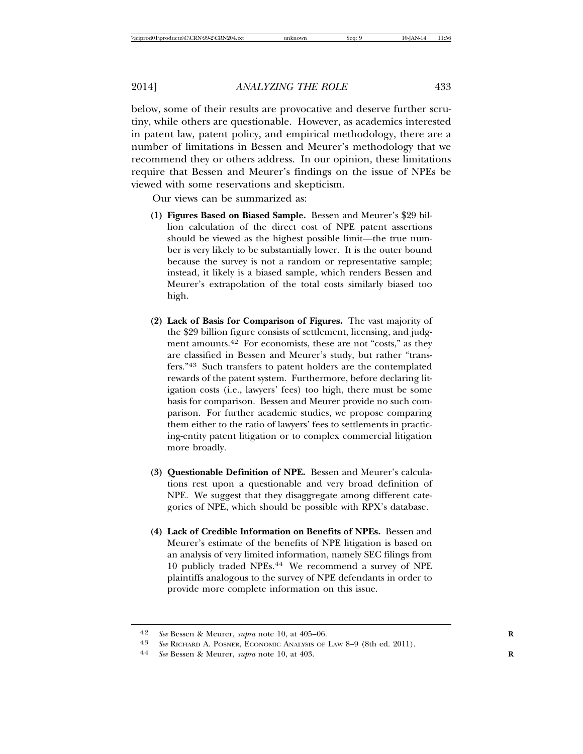below, some of their results are provocative and deserve further scrutiny, while others are questionable. However, as academics interested in patent law, patent policy, and empirical methodology, there are a number of limitations in Bessen and Meurer's methodology that we recommend they or others address. In our opinion, these limitations require that Bessen and Meurer's findings on the issue of NPEs be viewed with some reservations and skepticism.

Our views can be summarized as:

- **(1) Figures Based on Biased Sample.** Bessen and Meurer's \$29 billion calculation of the direct cost of NPE patent assertions should be viewed as the highest possible limit—the true number is very likely to be substantially lower. It is the outer bound because the survey is not a random or representative sample; instead, it likely is a biased sample, which renders Bessen and Meurer's extrapolation of the total costs similarly biased too high.
- **(2) Lack of Basis for Comparison of Figures.** The vast majority of the \$29 billion figure consists of settlement, licensing, and judgment amounts.<sup>42</sup> For economists, these are not "costs," as they are classified in Bessen and Meurer's study, but rather "transfers."43 Such transfers to patent holders are the contemplated rewards of the patent system. Furthermore, before declaring litigation costs (i.e., lawyers' fees) too high, there must be some basis for comparison. Bessen and Meurer provide no such comparison. For further academic studies, we propose comparing them either to the ratio of lawyers' fees to settlements in practicing-entity patent litigation or to complex commercial litigation more broadly.
- **(3) Questionable Definition of NPE.** Bessen and Meurer's calculations rest upon a questionable and very broad definition of NPE. We suggest that they disaggregate among different categories of NPE, which should be possible with RPX's database.
- **(4) Lack of Credible Information on Benefits of NPEs.** Bessen and Meurer's estimate of the benefits of NPE litigation is based on an analysis of very limited information, namely SEC filings from 10 publicly traded NPEs.44 We recommend a survey of NPE plaintiffs analogous to the survey of NPE defendants in order to provide more complete information on this issue.

<sup>42</sup> *See* Bessen & Meurer, *supra* note 10, at 405–06. **R**

<sup>43</sup> *See* RICHARD A. POSNER, ECONOMIC ANALYSIS OF LAW 8–9 (8th ed. 2011).

<sup>44</sup> *See* Bessen & Meurer, *supra* note 10, at 403. **R**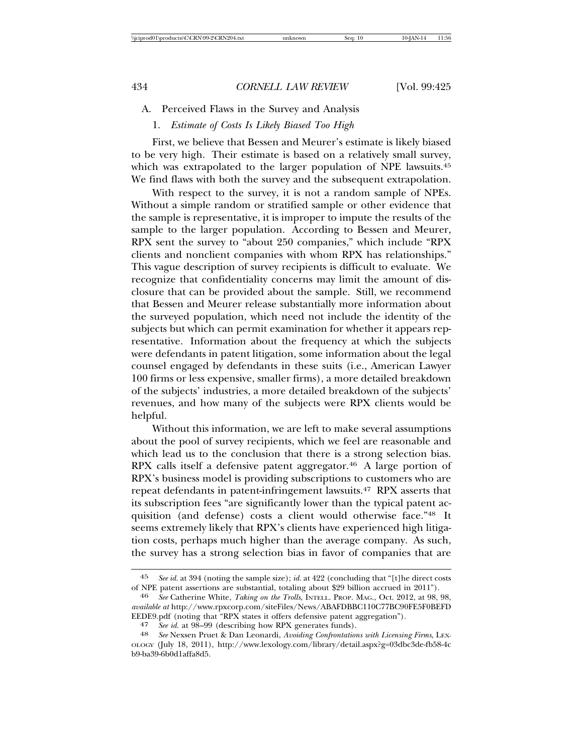# A. Perceived Flaws in the Survey and Analysis

# 1. *Estimate of Costs Is Likely Biased Too High*

First, we believe that Bessen and Meurer's estimate is likely biased to be very high. Their estimate is based on a relatively small survey, which was extrapolated to the larger population of NPE lawsuits.45 We find flaws with both the survey and the subsequent extrapolation.

With respect to the survey, it is not a random sample of NPEs. Without a simple random or stratified sample or other evidence that the sample is representative, it is improper to impute the results of the sample to the larger population. According to Bessen and Meurer, RPX sent the survey to "about 250 companies," which include "RPX clients and nonclient companies with whom RPX has relationships." This vague description of survey recipients is difficult to evaluate. We recognize that confidentiality concerns may limit the amount of disclosure that can be provided about the sample. Still, we recommend that Bessen and Meurer release substantially more information about the surveyed population, which need not include the identity of the subjects but which can permit examination for whether it appears representative. Information about the frequency at which the subjects were defendants in patent litigation, some information about the legal counsel engaged by defendants in these suits (i.e., American Lawyer 100 firms or less expensive, smaller firms), a more detailed breakdown of the subjects' industries, a more detailed breakdown of the subjects' revenues, and how many of the subjects were RPX clients would be helpful.

Without this information, we are left to make several assumptions about the pool of survey recipients, which we feel are reasonable and which lead us to the conclusion that there is a strong selection bias. RPX calls itself a defensive patent aggregator. $46$  A large portion of RPX's business model is providing subscriptions to customers who are repeat defendants in patent-infringement lawsuits.<sup>47</sup> RPX asserts that its subscription fees "are significantly lower than the typical patent acquisition (and defense) costs a client would otherwise face."48 It seems extremely likely that RPX's clients have experienced high litigation costs, perhaps much higher than the average company. As such, the survey has a strong selection bias in favor of companies that are

<sup>45</sup> *See id.* at 394 (noting the sample size); *id.* at 422 (concluding that "[t]he direct costs

of NPE patent assertions are substantial, totaling about \$29 billion accrued in 2011"). <sup>46</sup> *See* Catherine White, *Taking on the Trolls*, INTELL. PROP. MAG., Oct. 2012, at 98, 98, *available at* http://www.rpxcorp.com/siteFiles/News/ABAFDBBC110C77BC90FE5F0BEFD EEDE9.pdf (noting that "RPX states it offers defensive patent aggregation").<br><sup>47</sup> See id. at 98–99 (describing how RPX generates funds).

<sup>&</sup>lt;sup>48</sup> *See* Nexsen Pruet & Dan Leonardi, *Avoiding Confrontations with Licensing Firms*, LEX-OLOGY (July 18, 2011), http://www.lexology.com/library/detail.aspx?g=03dbc3de-fb58-4c b9-ba39-6b0d1affa8d5.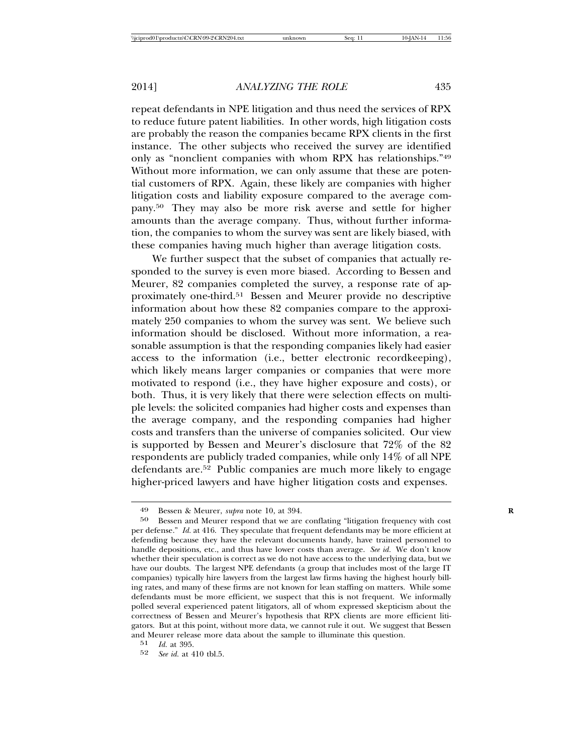repeat defendants in NPE litigation and thus need the services of RPX to reduce future patent liabilities. In other words, high litigation costs are probably the reason the companies became RPX clients in the first instance. The other subjects who received the survey are identified only as "nonclient companies with whom RPX has relationships."49 Without more information, we can only assume that these are potential customers of RPX. Again, these likely are companies with higher litigation costs and liability exposure compared to the average company.50 They may also be more risk averse and settle for higher amounts than the average company. Thus, without further information, the companies to whom the survey was sent are likely biased, with these companies having much higher than average litigation costs.

We further suspect that the subset of companies that actually responded to the survey is even more biased. According to Bessen and Meurer, 82 companies completed the survey, a response rate of approximately one-third.51 Bessen and Meurer provide no descriptive information about how these 82 companies compare to the approximately 250 companies to whom the survey was sent. We believe such information should be disclosed. Without more information, a reasonable assumption is that the responding companies likely had easier access to the information (i.e., better electronic recordkeeping), which likely means larger companies or companies that were more motivated to respond (i.e., they have higher exposure and costs), or both. Thus, it is very likely that there were selection effects on multiple levels: the solicited companies had higher costs and expenses than the average company, and the responding companies had higher costs and transfers than the universe of companies solicited. Our view is supported by Bessen and Meurer's disclosure that 72% of the 82 respondents are publicly traded companies, while only 14% of all NPE defendants are.52 Public companies are much more likely to engage higher-priced lawyers and have higher litigation costs and expenses.

<sup>49</sup> Bessen & Meurer, *supra* note 10, at 394. **R**

<sup>50</sup> Bessen and Meurer respond that we are conflating "litigation frequency with cost per defense." *Id.* at 416. They speculate that frequent defendants may be more efficient at defending because they have the relevant documents handy, have trained personnel to handle depositions, etc., and thus have lower costs than average. *See id.* We don't know whether their speculation is correct as we do not have access to the underlying data, but we have our doubts. The largest NPE defendants (a group that includes most of the large IT companies) typically hire lawyers from the largest law firms having the highest hourly billing rates, and many of these firms are not known for lean staffing on matters. While some defendants must be more efficient, we suspect that this is not frequent. We informally polled several experienced patent litigators, all of whom expressed skepticism about the correctness of Bessen and Meurer's hypothesis that RPX clients are more efficient litigators. But at this point, without more data, we cannot rule it out. We suggest that Bessen and Meurer release more data about the sample to illuminate this question.

<sup>51</sup> *Id.* at 395.

<sup>52</sup> *See id.* at 410 tbl.5.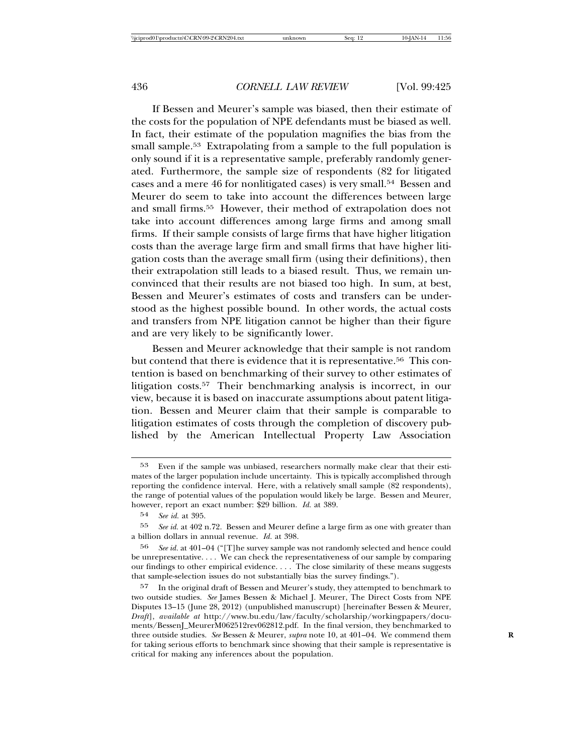If Bessen and Meurer's sample was biased, then their estimate of the costs for the population of NPE defendants must be biased as well. In fact, their estimate of the population magnifies the bias from the small sample.<sup>53</sup> Extrapolating from a sample to the full population is only sound if it is a representative sample, preferably randomly generated. Furthermore, the sample size of respondents (82 for litigated cases and a mere 46 for nonlitigated cases) is very small.54 Bessen and Meurer do seem to take into account the differences between large and small firms.55 However, their method of extrapolation does not take into account differences among large firms and among small firms. If their sample consists of large firms that have higher litigation costs than the average large firm and small firms that have higher litigation costs than the average small firm (using their definitions), then their extrapolation still leads to a biased result. Thus, we remain unconvinced that their results are not biased too high. In sum, at best, Bessen and Meurer's estimates of costs and transfers can be understood as the highest possible bound. In other words, the actual costs and transfers from NPE litigation cannot be higher than their figure and are very likely to be significantly lower.

Bessen and Meurer acknowledge that their sample is not random but contend that there is evidence that it is representative.<sup>56</sup> This contention is based on benchmarking of their survey to other estimates of litigation costs.57 Their benchmarking analysis is incorrect, in our view, because it is based on inaccurate assumptions about patent litigation. Bessen and Meurer claim that their sample is comparable to litigation estimates of costs through the completion of discovery published by the American Intellectual Property Law Association

<sup>53</sup> Even if the sample was unbiased, researchers normally make clear that their estimates of the larger population include uncertainty. This is typically accomplished through reporting the confidence interval. Here, with a relatively small sample (82 respondents), the range of potential values of the population would likely be large. Bessen and Meurer, however, report an exact number: \$29 billion. *Id.* at 389.

<sup>54</sup> *See id.* at 395.

<sup>55</sup> *See id.* at 402 n.72. Bessen and Meurer define a large firm as one with greater than a billion dollars in annual revenue. *Id.* at 398.

<sup>56</sup> *See id.* at 401–04 ("[T]he survey sample was not randomly selected and hence could be unrepresentative. . . . We can check the representativeness of our sample by comparing our findings to other empirical evidence. . . . The close similarity of these means suggests that sample-selection issues do not substantially bias the survey findings.").

<sup>57</sup> In the original draft of Bessen and Meurer's study, they attempted to benchmark to two outside studies. *See* James Bessen & Michael J. Meurer, The Direct Costs from NPE Disputes 13–15 (June 28, 2012) (unpublished manuscrupt) [hereinafter Bessen & Meurer, *Draft*], *available at* http://www.bu.edu/law/faculty/scholarship/workingpapers/documents/BessenJ\_MeurerM062512rev062812.pdf. In the final version, they benchmarked to three outside studies. *See* Bessen & Meurer, *supra* note 10, at 401–04. We commend them **R** for taking serious efforts to benchmark since showing that their sample is representative is critical for making any inferences about the population.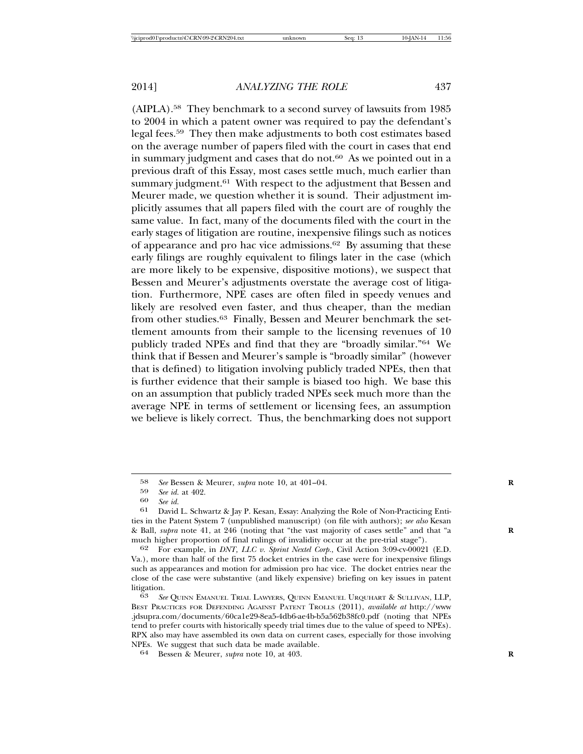(AIPLA).58 They benchmark to a second survey of lawsuits from 1985 to 2004 in which a patent owner was required to pay the defendant's legal fees.59 They then make adjustments to both cost estimates based on the average number of papers filed with the court in cases that end in summary judgment and cases that do not.<sup>60</sup> As we pointed out in a previous draft of this Essay, most cases settle much, much earlier than summary judgment.<sup>61</sup> With respect to the adjustment that Bessen and Meurer made, we question whether it is sound. Their adjustment implicitly assumes that all papers filed with the court are of roughly the same value. In fact, many of the documents filed with the court in the early stages of litigation are routine, inexpensive filings such as notices of appearance and pro hac vice admissions.62 By assuming that these early filings are roughly equivalent to filings later in the case (which are more likely to be expensive, dispositive motions), we suspect that Bessen and Meurer's adjustments overstate the average cost of litigation. Furthermore, NPE cases are often filed in speedy venues and likely are resolved even faster, and thus cheaper, than the median from other studies.<sup>63</sup> Finally, Bessen and Meurer benchmark the settlement amounts from their sample to the licensing revenues of 10 publicly traded NPEs and find that they are "broadly similar."64 We think that if Bessen and Meurer's sample is "broadly similar" (however that is defined) to litigation involving publicly traded NPEs, then that is further evidence that their sample is biased too high. We base this on an assumption that publicly traded NPEs seek much more than the average NPE in terms of settlement or licensing fees, an assumption we believe is likely correct. Thus, the benchmarking does not support

<sup>58</sup> *See* Bessen & Meurer, *supra* note 10, at 401–04.<br>59 *See id* at 409

<sup>59</sup> *See id.* at 402. <sup>60</sup> *See id.*

David L. Schwartz & Jay P. Kesan, Essay: Analyzing the Role of Non-Practicing Entities in the Patent System 7 (unpublished manuscript) (on file with authors); *see also* Kesan & Ball, *supra* note 41, at 246 (noting that "the vast majority of cases settle" and that "a **R** much higher proportion of final rulings of invalidity occur at the pre-trial stage").

<sup>62</sup> For example, in *DNT, LLC v. Sprint Nextel Corp.*, Civil Action 3:09-cv-00021 (E.D. Va.), more than half of the first 75 docket entries in the case were for inexpensive filings such as appearances and motion for admission pro hac vice. The docket entries near the close of the case were substantive (and likely expensive) briefing on key issues in patent litigation. <sup>63</sup> *See* QUINN EMANUEL TRIAL LAWYERS, QUINN EMANUEL URQUHART & SULLIVAN, LLP,

BEST PRACTICES FOR DEFENDING AGAINST PATENT TROLLS (2011), *available at* http://www .jdsupra.com/documents/60ca1e29-8ea5-4db6-ae4b-b5a562b38fc0.pdf (noting that NPEs tend to prefer courts with historically speedy trial times due to the value of speed to NPEs). RPX also may have assembled its own data on current cases, especially for those involving NPEs. We suggest that such data be made available. <sup>64</sup> Bessen & Meurer, *supra* note 10, at 403. **<sup>R</sup>**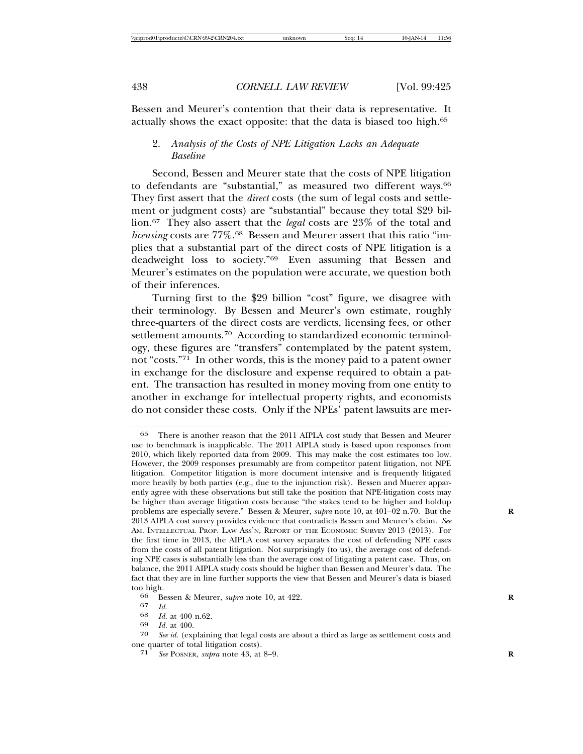Bessen and Meurer's contention that their data is representative. It actually shows the exact opposite: that the data is biased too high.<sup>65</sup>

# 2. *Analysis of the Costs of NPE Litigation Lacks an Adequate Baseline*

Second, Bessen and Meurer state that the costs of NPE litigation to defendants are "substantial," as measured two different ways.<sup>66</sup> They first assert that the *direct* costs (the sum of legal costs and settlement or judgment costs) are "substantial" because they total \$29 billion.67 They also assert that the *legal* costs are 23% of the total and *licensing* costs are 77%.<sup>68</sup> Bessen and Meurer assert that this ratio "implies that a substantial part of the direct costs of NPE litigation is a deadweight loss to society."69 Even assuming that Bessen and Meurer's estimates on the population were accurate, we question both of their inferences.

Turning first to the \$29 billion "cost" figure, we disagree with their terminology. By Bessen and Meurer's own estimate, roughly three-quarters of the direct costs are verdicts, licensing fees, or other settlement amounts.<sup>70</sup> According to standardized economic terminology, these figures are "transfers" contemplated by the patent system, not "costs."71 In other words, this is the money paid to a patent owner in exchange for the disclosure and expense required to obtain a patent. The transaction has resulted in money moving from one entity to another in exchange for intellectual property rights, and economists do not consider these costs. Only if the NPEs' patent lawsuits are mer-

<sup>65</sup> There is another reason that the 2011 AIPLA cost study that Bessen and Meurer use to benchmark is inapplicable. The 2011 AIPLA study is based upon responses from 2010, which likely reported data from 2009. This may make the cost estimates too low. However, the 2009 responses presumably are from competitor patent litigation, not NPE litigation. Competitor litigation is more document intensive and is frequently litigated more heavily by both parties (e.g., due to the injunction risk). Bessen and Muerer apparently agree with these observations but still take the position that NPE-litigation costs may be higher than average litigation costs because "the stakes tend to be higher and holdup problems are especially severe." Bessen & Meurer, *supra* note 10, at 401–02 n.70. But the **R** 2013 AIPLA cost survey provides evidence that contradicts Bessen and Meurer's claim. *See* AM. INTELLECTUAL PROP. LAW ASS'N, REPORT OF THE ECONOMIC SURVEY 2013 (2013). For the first time in 2013, the AIPLA cost survey separates the cost of defending NPE cases from the costs of all patent litigation. Not surprisingly (to us), the average cost of defending NPE cases is substantially less than the average cost of litigating a patent case. Thus, on balance, the 2011 AIPLA study costs should be higher than Bessen and Meurer's data. The fact that they are in line further supports the view that Bessen and Meurer's data is biased too high.<br>
66 Bessen & Meurer, *supra* note 10, at 422.<br>
67 Id

<sup>67</sup> *Id.* <sup>68</sup> *Id.* at 400 n.62. <sup>69</sup> *Id.* at 400.

See id. (explaining that legal costs are about a third as large as settlement costs and one quarter of total litigation costs).<br>71 See POSNER, subra note 43, at

See POSNER, *supra* note 43, at 8-9.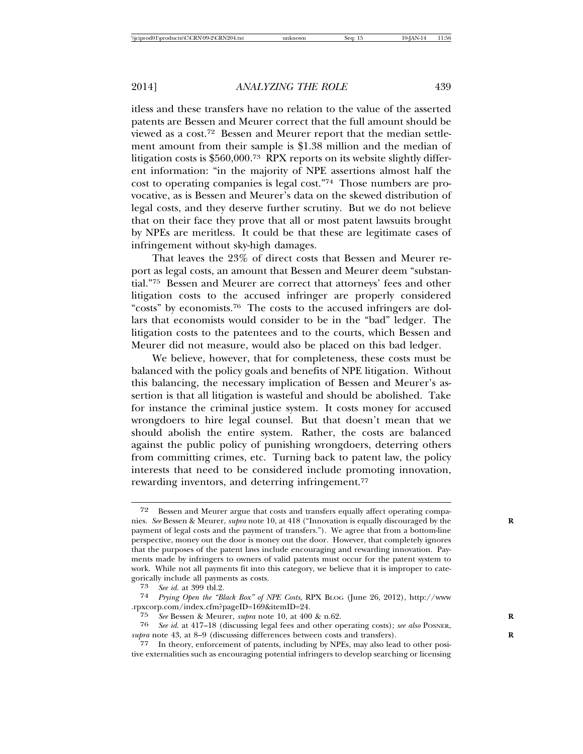itless and these transfers have no relation to the value of the asserted patents are Bessen and Meurer correct that the full amount should be viewed as a cost.72 Bessen and Meurer report that the median settlement amount from their sample is \$1.38 million and the median of litigation costs is \$560,000.73 RPX reports on its website slightly different information: "in the majority of NPE assertions almost half the cost to operating companies is legal cost."74 Those numbers are provocative, as is Bessen and Meurer's data on the skewed distribution of legal costs, and they deserve further scrutiny. But we do not believe that on their face they prove that all or most patent lawsuits brought by NPEs are meritless. It could be that these are legitimate cases of infringement without sky-high damages.

That leaves the 23% of direct costs that Bessen and Meurer report as legal costs, an amount that Bessen and Meurer deem "substantial."75 Bessen and Meurer are correct that attorneys' fees and other litigation costs to the accused infringer are properly considered "costs" by economists.76 The costs to the accused infringers are dollars that economists would consider to be in the "bad" ledger. The litigation costs to the patentees and to the courts, which Bessen and Meurer did not measure, would also be placed on this bad ledger.

We believe, however, that for completeness, these costs must be balanced with the policy goals and benefits of NPE litigation. Without this balancing, the necessary implication of Bessen and Meurer's assertion is that all litigation is wasteful and should be abolished. Take for instance the criminal justice system. It costs money for accused wrongdoers to hire legal counsel. But that doesn't mean that we should abolish the entire system. Rather, the costs are balanced against the public policy of punishing wrongdoers, deterring others from committing crimes, etc. Turning back to patent law, the policy interests that need to be considered include promoting innovation, rewarding inventors, and deterring infringement.<sup>77</sup>

<sup>72</sup> Bessen and Meurer argue that costs and transfers equally affect operating companies. *See* Bessen & Meurer, *supra* note 10, at 418 ("Innovation is equally discouraged by the **R** payment of legal costs and the payment of transfers."). We agree that from a bottom-line perspective, money out the door is money out the door. However, that completely ignores that the purposes of the patent laws include encouraging and rewarding innovation. Payments made by infringers to owners of valid patents must occur for the patent system to work. While not all payments fit into this category, we believe that it is improper to categorically include all payments as costs.<br> $\frac{73}{2}$  See id at 399 tbl 2

<sup>73</sup> *See id.* at 399 tbl.2.

<sup>74</sup> *Prying Open the "Black Box" of NPE Costs*, RPX BLOG (June 26, 2012), http://www .rpxcorp.com/index.cfm?pageID=169&itemID=24.

<sup>75</sup> *See* Bessen & Meurer, *supra* note 10, at 400 & n.62. **R**

<sup>76</sup> *See id.* at 417–18 (discussing legal fees and other operating costs); *see also* POSNER, *supra* note 43, at 8–9 (discussing differences between costs and transfers). **R**

<sup>77</sup> In theory, enforcement of patents, including by NPEs, may also lead to other positive externalities such as encouraging potential infringers to develop searching or licensing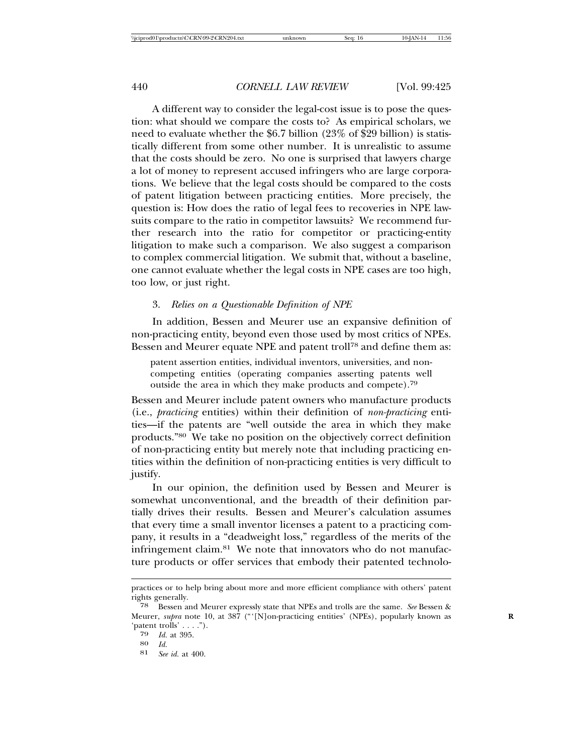A different way to consider the legal-cost issue is to pose the question: what should we compare the costs to? As empirical scholars, we need to evaluate whether the \$6.7 billion (23% of \$29 billion) is statistically different from some other number. It is unrealistic to assume that the costs should be zero. No one is surprised that lawyers charge a lot of money to represent accused infringers who are large corporations. We believe that the legal costs should be compared to the costs of patent litigation between practicing entities. More precisely, the question is: How does the ratio of legal fees to recoveries in NPE lawsuits compare to the ratio in competitor lawsuits? We recommend further research into the ratio for competitor or practicing-entity litigation to make such a comparison. We also suggest a comparison to complex commercial litigation. We submit that, without a baseline, one cannot evaluate whether the legal costs in NPE cases are too high, too low, or just right.

#### 3. *Relies on a Questionable Definition of NPE*

In addition, Bessen and Meurer use an expansive definition of non-practicing entity, beyond even those used by most critics of NPEs. Bessen and Meurer equate NPE and patent troll<sup>78</sup> and define them as:

patent assertion entities, individual inventors, universities, and noncompeting entities (operating companies asserting patents well outside the area in which they make products and compete).79

Bessen and Meurer include patent owners who manufacture products (i.e., *practicing* entities) within their definition of *non-practicing* entities—if the patents are "well outside the area in which they make products."80 We take no position on the objectively correct definition of non-practicing entity but merely note that including practicing entities within the definition of non-practicing entities is very difficult to justify.

In our opinion, the definition used by Bessen and Meurer is somewhat unconventional, and the breadth of their definition partially drives their results. Bessen and Meurer's calculation assumes that every time a small inventor licenses a patent to a practicing company, it results in a "deadweight loss," regardless of the merits of the infringement claim.81 We note that innovators who do not manufacture products or offer services that embody their patented technolo-

practices or to help bring about more and more efficient compliance with others' patent rights generally.

<sup>78</sup> Bessen and Meurer expressly state that NPEs and trolls are the same. *See* Bessen & Meurer, *supra* note 10, at 387 ("'[N]on-practicing entities' (NPEs), popularly known as 'patent trolls' . . . .").

<sup>79</sup> *Id.* at 395. <sup>80</sup> *Id.*

<sup>81</sup> *See id.* at 400.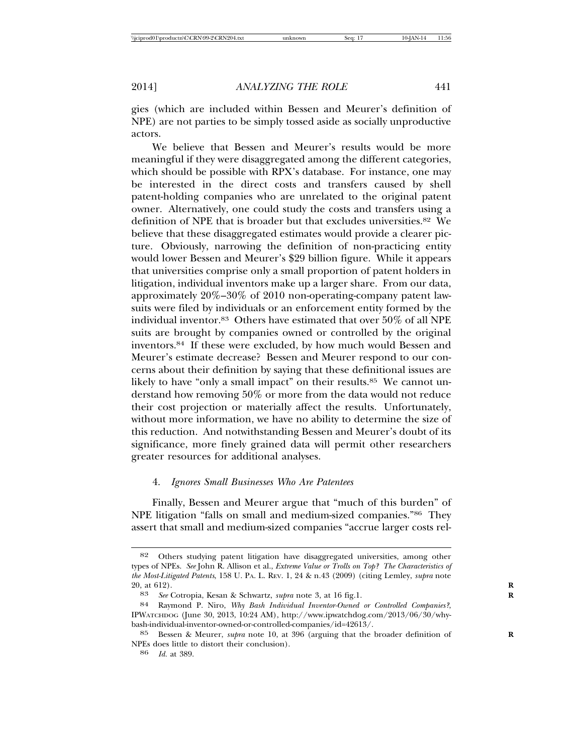gies (which are included within Bessen and Meurer's definition of NPE) are not parties to be simply tossed aside as socially unproductive actors.

We believe that Bessen and Meurer's results would be more meaningful if they were disaggregated among the different categories, which should be possible with RPX's database. For instance, one may be interested in the direct costs and transfers caused by shell patent-holding companies who are unrelated to the original patent owner. Alternatively, one could study the costs and transfers using a definition of NPE that is broader but that excludes universities.82 We believe that these disaggregated estimates would provide a clearer picture. Obviously, narrowing the definition of non-practicing entity would lower Bessen and Meurer's \$29 billion figure. While it appears that universities comprise only a small proportion of patent holders in litigation, individual inventors make up a larger share. From our data, approximately 20%–30% of 2010 non-operating-company patent lawsuits were filed by individuals or an enforcement entity formed by the individual inventor.83 Others have estimated that over 50% of all NPE suits are brought by companies owned or controlled by the original inventors.84 If these were excluded, by how much would Bessen and Meurer's estimate decrease? Bessen and Meurer respond to our concerns about their definition by saying that these definitional issues are likely to have "only a small impact" on their results.<sup>85</sup> We cannot understand how removing 50% or more from the data would not reduce their cost projection or materially affect the results. Unfortunately, without more information, we have no ability to determine the size of this reduction. And notwithstanding Bessen and Meurer's doubt of its significance, more finely grained data will permit other researchers greater resources for additional analyses.

# 4. *Ignores Small Businesses Who Are Patentees*

Finally, Bessen and Meurer argue that "much of this burden" of NPE litigation "falls on small and medium-sized companies."86 They assert that small and medium-sized companies "accrue larger costs rel-

<sup>82</sup> Others studying patent litigation have disaggregated universities, among other types of NPEs. *See* John R. Allison et al., *Extreme Value or Trolls on Top? The Characteristics of the Most-Litigated Patents*, 158 U. PA. L. REV. 1, 24 & n.43 (2009) (citing Lemley, *supra* note 20, at 612). **R**

<sup>83</sup> *See* Cotropia, Kesan & Schwartz, *supra* note 3, at 16 fig.1. **R**

<sup>84</sup> Raymond P. Niro, *Why Bash Individual Inventor-Owned or Controlled Companies?*, IPWATCHDOG (June 30, 2013, 10:24 AM), http://www.ipwatchdog.com/2013/06/30/whybash-individual-inventor-owned-or-controlled-companies/id=42613/.

<sup>85</sup> Bessen & Meurer, *supra* note 10, at 396 (arguing that the broader definition of **R** NPEs does little to distort their conclusion).

<sup>86</sup> *Id.* at 389.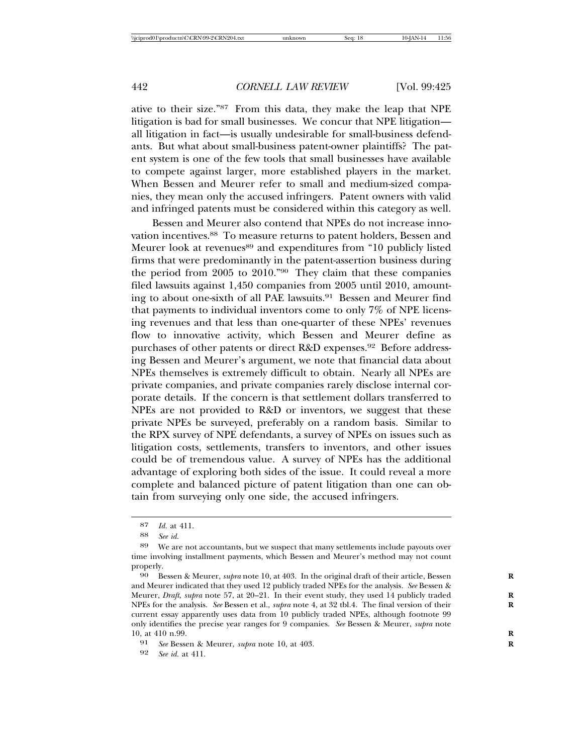ative to their size."87 From this data, they make the leap that NPE litigation is bad for small businesses. We concur that NPE litigation all litigation in fact—is usually undesirable for small-business defendants. But what about small-business patent-owner plaintiffs? The patent system is one of the few tools that small businesses have available to compete against larger, more established players in the market. When Bessen and Meurer refer to small and medium-sized companies, they mean only the accused infringers. Patent owners with valid and infringed patents must be considered within this category as well.

Bessen and Meurer also contend that NPEs do not increase innovation incentives.88 To measure returns to patent holders, Bessen and Meurer look at revenues<sup>89</sup> and expenditures from "10 publicly listed firms that were predominantly in the patent-assertion business during the period from 2005 to 2010."90 They claim that these companies filed lawsuits against 1,450 companies from 2005 until 2010, amounting to about one-sixth of all PAE lawsuits.<sup>91</sup> Bessen and Meurer find that payments to individual inventors come to only 7% of NPE licensing revenues and that less than one-quarter of these NPEs' revenues flow to innovative activity, which Bessen and Meurer define as purchases of other patents or direct R&D expenses.<sup>92</sup> Before addressing Bessen and Meurer's argument, we note that financial data about NPEs themselves is extremely difficult to obtain. Nearly all NPEs are private companies, and private companies rarely disclose internal corporate details. If the concern is that settlement dollars transferred to NPEs are not provided to R&D or inventors, we suggest that these private NPEs be surveyed, preferably on a random basis. Similar to the RPX survey of NPE defendants, a survey of NPEs on issues such as litigation costs, settlements, transfers to inventors, and other issues could be of tremendous value. A survey of NPEs has the additional advantage of exploring both sides of the issue. It could reveal a more complete and balanced picture of patent litigation than one can obtain from surveying only one side, the accused infringers.

<sup>87</sup> *Id.* at 411.

<sup>88</sup> *See id.*

<sup>89</sup> We are not accountants, but we suspect that many settlements include payouts over time involving installment payments, which Bessen and Meurer's method may not count properly.

<sup>90</sup> Bessen & Meurer, *supra* note 10, at 403. In the original draft of their article, Bessen **R** and Meurer indicated that they used 12 publicly traded NPEs for the analysis. *See* Bessen & Meurer, *Draft*, *supra* note 57, at 20–21. In their event study, they used 14 publicly traded **R** NPEs for the analysis. *See* Bessen et al., *supra* note 4, at 32 tbl.4. The final version of their **R** current essay apparently uses data from 10 publicly traded NPEs, although footnote 99 only identifies the precise year ranges for 9 companies. *See* Bessen & Meurer, *supra* note 10, at 410 n.99. **R**

<sup>91</sup> *See* Bessen & Meurer, *supra* note 10, at 403. **R**

<sup>92</sup> *See id.* at 411.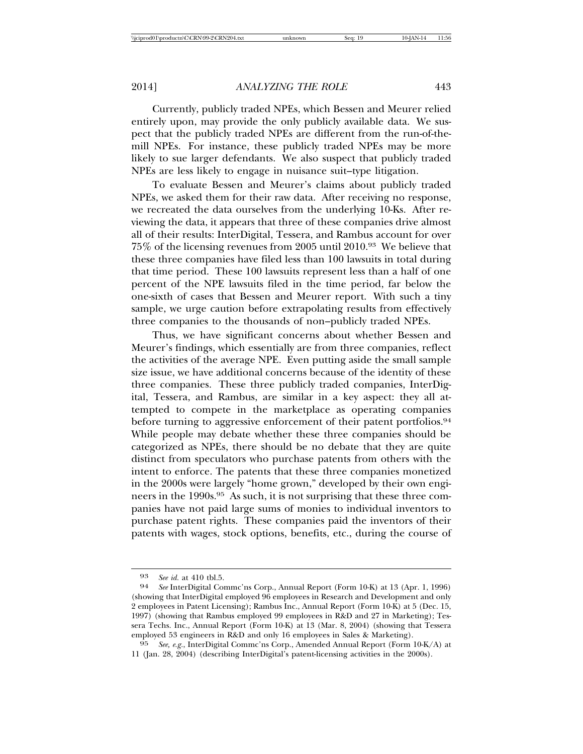Currently, publicly traded NPEs, which Bessen and Meurer relied entirely upon, may provide the only publicly available data. We suspect that the publicly traded NPEs are different from the run-of-themill NPEs. For instance, these publicly traded NPEs may be more likely to sue larger defendants. We also suspect that publicly traded NPEs are less likely to engage in nuisance suit–type litigation.

To evaluate Bessen and Meurer's claims about publicly traded NPEs, we asked them for their raw data. After receiving no response, we recreated the data ourselves from the underlying 10-Ks. After reviewing the data, it appears that three of these companies drive almost all of their results: InterDigital, Tessera, and Rambus account for over 75% of the licensing revenues from 2005 until 2010.93 We believe that these three companies have filed less than 100 lawsuits in total during that time period. These 100 lawsuits represent less than a half of one percent of the NPE lawsuits filed in the time period, far below the one-sixth of cases that Bessen and Meurer report. With such a tiny sample, we urge caution before extrapolating results from effectively three companies to the thousands of non–publicly traded NPEs.

Thus, we have significant concerns about whether Bessen and Meurer's findings, which essentially are from three companies, reflect the activities of the average NPE. Even putting aside the small sample size issue, we have additional concerns because of the identity of these three companies. These three publicly traded companies, InterDigital, Tessera, and Rambus, are similar in a key aspect: they all attempted to compete in the marketplace as operating companies before turning to aggressive enforcement of their patent portfolios.<sup>94</sup> While people may debate whether these three companies should be categorized as NPEs, there should be no debate that they are quite distinct from speculators who purchase patents from others with the intent to enforce. The patents that these three companies monetized in the 2000s were largely "home grown," developed by their own engineers in the 1990s.95 As such, it is not surprising that these three companies have not paid large sums of monies to individual inventors to purchase patent rights. These companies paid the inventors of their patents with wages, stock options, benefits, etc., during the course of

<sup>93</sup> *See id.* at 410 tbl.5. <sup>94</sup> *See* InterDigital Commc'ns Corp., Annual Report (Form 10-K) at 13 (Apr. 1, 1996) (showing that InterDigital employed 96 employees in Research and Development and only 2 employees in Patent Licensing); Rambus Inc., Annual Report (Form 10-K) at 5 (Dec. 15, 1997) (showing that Rambus employed 99 employees in R&D and 27 in Marketing); Tessera Techs. Inc., Annual Report (Form 10-K) at 13 (Mar. 8, 2004) (showing that Tessera employed 53 engineers in R&D and only 16 employees in Sales & Marketing).

<sup>95</sup> *See, e.g.*, InterDigital Commc'ns Corp., Amended Annual Report (Form 10-K/A) at 11 (Jan. 28, 2004) (describing InterDigital's patent-licensing activities in the 2000s).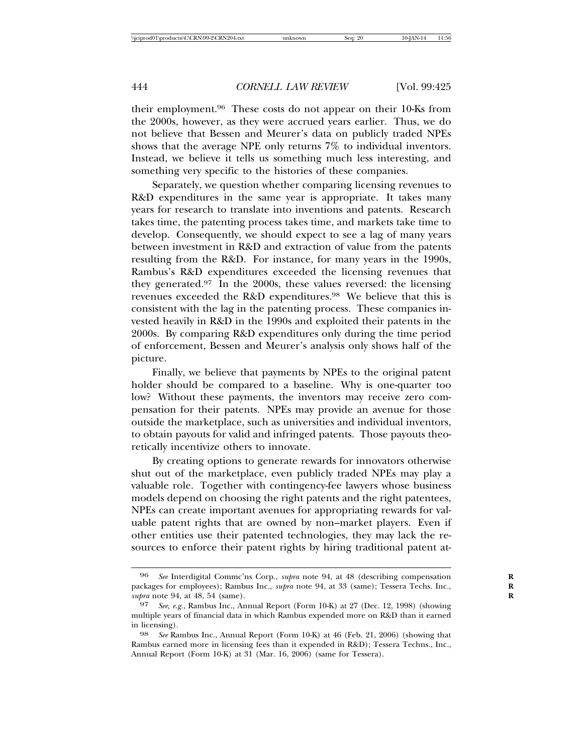their employment.96 These costs do not appear on their 10-Ks from the 2000s, however, as they were accrued years earlier. Thus, we do not believe that Bessen and Meurer's data on publicly traded NPEs shows that the average NPE only returns 7% to individual inventors. Instead, we believe it tells us something much less interesting, and something very specific to the histories of these companies.

Separately, we question whether comparing licensing revenues to R&D expenditures in the same year is appropriate. It takes many years for research to translate into inventions and patents. Research takes time, the patenting process takes time, and markets take time to develop. Consequently, we should expect to see a lag of many years between investment in R&D and extraction of value from the patents resulting from the R&D. For instance, for many years in the 1990s, Rambus's R&D expenditures exceeded the licensing revenues that they generated.97 In the 2000s, these values reversed: the licensing revenues exceeded the R&D expenditures.98 We believe that this is consistent with the lag in the patenting process. These companies invested heavily in R&D in the 1990s and exploited their patents in the 2000s. By comparing R&D expenditures only during the time period of enforcement, Bessen and Meurer's analysis only shows half of the picture.

Finally, we believe that payments by NPEs to the original patent holder should be compared to a baseline. Why is one-quarter too low? Without these payments, the inventors may receive zero compensation for their patents. NPEs may provide an avenue for those outside the marketplace, such as universities and individual inventors, to obtain payouts for valid and infringed patents. Those payouts theoretically incentivize others to innovate.

By creating options to generate rewards for innovators otherwise shut out of the marketplace, even publicly traded NPEs may play a valuable role. Together with contingency-fee lawyers whose business models depend on choosing the right patents and the right patentees, NPEs can create important avenues for appropriating rewards for valuable patent rights that are owned by non–market players. Even if other entities use their patented technologies, they may lack the resources to enforce their patent rights by hiring traditional patent at-

<sup>96</sup> *See* Interdigital Commc'ns Corp., *supra* note 94, at 48 (describing compensation **R** packages for employees); Rambus Inc., *supra* note 94, at 33 (same); Tessera Techs. Inc., *supra* note 94, at 48, 54 (same). **R**

<sup>97</sup> *See, e.g.*, Rambus Inc., Annual Report (Form 10-K) at 27 (Dec. 12, 1998) (showing multiple years of financial data in which Rambus expended more on R&D than it earned in licensing).

<sup>98</sup> *See* Rambus Inc., Annual Report (Form 10-K) at 46 (Feb. 21, 2006) (showing that Rambus earned more in licensing fees than it expended in R&D); Tessera Techns., Inc., Annual Report (Form 10-K) at 31 (Mar. 16, 2006) (same for Tessera).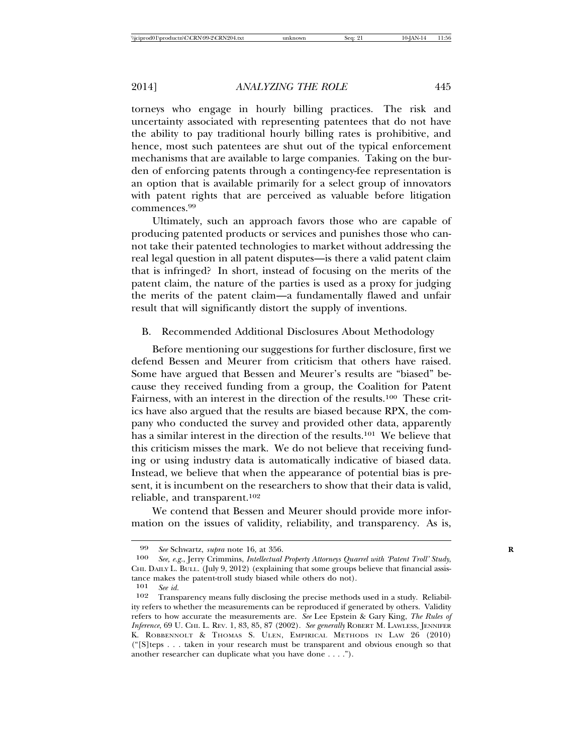torneys who engage in hourly billing practices. The risk and uncertainty associated with representing patentees that do not have the ability to pay traditional hourly billing rates is prohibitive, and hence, most such patentees are shut out of the typical enforcement mechanisms that are available to large companies. Taking on the burden of enforcing patents through a contingency-fee representation is an option that is available primarily for a select group of innovators with patent rights that are perceived as valuable before litigation commences.99

Ultimately, such an approach favors those who are capable of producing patented products or services and punishes those who cannot take their patented technologies to market without addressing the real legal question in all patent disputes—is there a valid patent claim that is infringed? In short, instead of focusing on the merits of the patent claim, the nature of the parties is used as a proxy for judging the merits of the patent claim—a fundamentally flawed and unfair result that will significantly distort the supply of inventions.

B. Recommended Additional Disclosures About Methodology

Before mentioning our suggestions for further disclosure, first we defend Bessen and Meurer from criticism that others have raised. Some have argued that Bessen and Meurer's results are "biased" because they received funding from a group, the Coalition for Patent Fairness, with an interest in the direction of the results.100 These critics have also argued that the results are biased because RPX, the company who conducted the survey and provided other data, apparently has a similar interest in the direction of the results.101 We believe that this criticism misses the mark. We do not believe that receiving funding or using industry data is automatically indicative of biased data. Instead, we believe that when the appearance of potential bias is present, it is incumbent on the researchers to show that their data is valid, reliable, and transparent.102

We contend that Bessen and Meurer should provide more information on the issues of validity, reliability, and transparency. As is,

<sup>99</sup> *See* Schwartz, *supra* note 16, at 356. **R**

<sup>100</sup> *See, e.g.*, Jerry Crimmins, *Intellectual Property Attorneys Quarrel with 'Patent Troll' Study*, CHI. DAILY L. BULL. (July 9, 2012) (explaining that some groups believe that financial assistance makes the patent-troll study biased while others do not).<br> $101 \,$  See id

See id.

<sup>102</sup> Transparency means fully disclosing the precise methods used in a study. Reliability refers to whether the measurements can be reproduced if generated by others. Validity refers to how accurate the measurements are. *See* Lee Epstein & Gary King, *The Rules of Inference*, 69 U. CHI. L. REV. 1, 83, 85, 87 (2002). *See generally* ROBERT M. LAWLESS, JENNIFER K. ROBBENNOLT & THOMAS S. ULEN, EMPIRICAL METHODS IN LAW 26 (2010) ("[S]teps . . . taken in your research must be transparent and obvious enough so that another researcher can duplicate what you have done . . . .").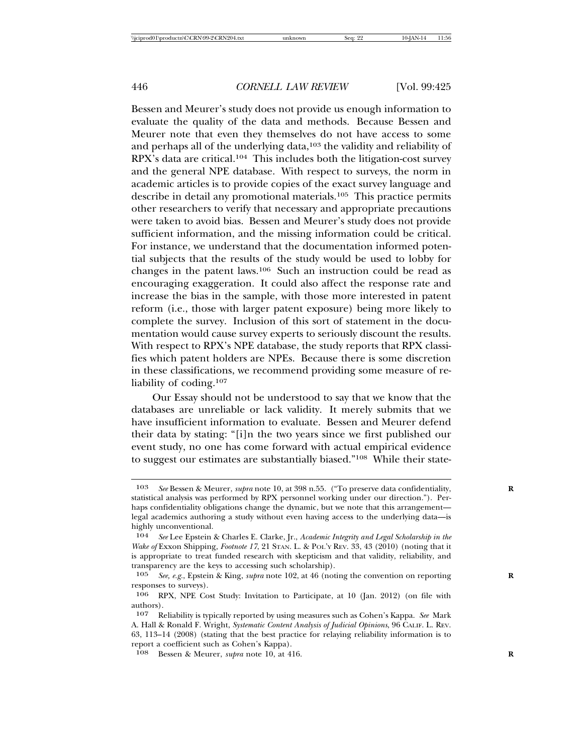Bessen and Meurer's study does not provide us enough information to evaluate the quality of the data and methods. Because Bessen and Meurer note that even they themselves do not have access to some and perhaps all of the underlying data,<sup>103</sup> the validity and reliability of RPX's data are critical.104 This includes both the litigation-cost survey and the general NPE database. With respect to surveys, the norm in academic articles is to provide copies of the exact survey language and describe in detail any promotional materials.105 This practice permits other researchers to verify that necessary and appropriate precautions were taken to avoid bias. Bessen and Meurer's study does not provide sufficient information, and the missing information could be critical. For instance, we understand that the documentation informed potential subjects that the results of the study would be used to lobby for changes in the patent laws.106 Such an instruction could be read as encouraging exaggeration. It could also affect the response rate and increase the bias in the sample, with those more interested in patent reform (i.e., those with larger patent exposure) being more likely to complete the survey. Inclusion of this sort of statement in the documentation would cause survey experts to seriously discount the results. With respect to RPX's NPE database, the study reports that RPX classifies which patent holders are NPEs. Because there is some discretion in these classifications, we recommend providing some measure of reliability of coding.107

Our Essay should not be understood to say that we know that the databases are unreliable or lack validity. It merely submits that we have insufficient information to evaluate. Bessen and Meurer defend their data by stating: "[i]n the two years since we first published our event study, no one has come forward with actual empirical evidence to suggest our estimates are substantially biased."108 While their state-

<sup>103</sup> *See* Bessen & Meurer, *supra* note 10, at 398 n.55. ("To preserve data confidentiality, **R** statistical analysis was performed by RPX personnel working under our direction."). Perhaps confidentiality obligations change the dynamic, but we note that this arrangement legal academics authoring a study without even having access to the underlying data—is highly unconventional.

<sup>104</sup> *See* Lee Epstein & Charles E. Clarke, Jr., *Academic Integrity and Legal Scholarship in the Wake of* Exxon Shipping*, Footnote 17*, 21 STAN. L. & POL'Y REV. 33, 43 (2010) (noting that it is appropriate to treat funded research with skepticism and that validity, reliability, and transparency are the keys to accessing such scholarship).

<sup>105</sup> *See, e.g.*, Epstein & King, *supra* note 102, at 46 (noting the convention on reporting **R** responses to surveys).

<sup>106</sup> RPX, NPE Cost Study: Invitation to Participate, at 10 (Jan. 2012) (on file with authors).

<sup>107</sup> Reliability is typically reported by using measures such as Cohen's Kappa. *See* Mark A. Hall & Ronald F. Wright, *Systematic Content Analysis of Judicial Opinions*, 96 CALIF. L. REV. 63, 113–14 (2008) (stating that the best practice for relaying reliability information is to report a coefficient such as Cohen's Kappa).

<sup>108</sup> Bessen & Meurer, *supra* note 10, at 416. **R**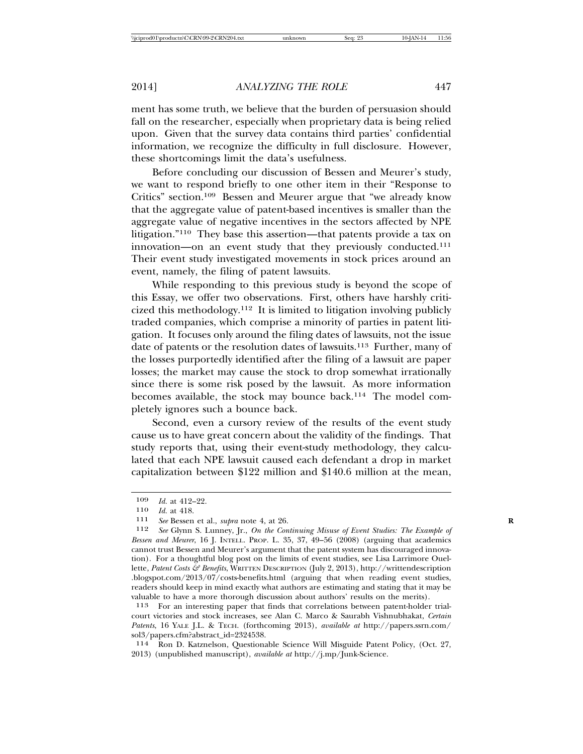ment has some truth, we believe that the burden of persuasion should fall on the researcher, especially when proprietary data is being relied upon. Given that the survey data contains third parties' confidential information, we recognize the difficulty in full disclosure. However, these shortcomings limit the data's usefulness.

Before concluding our discussion of Bessen and Meurer's study, we want to respond briefly to one other item in their "Response to Critics" section.109 Bessen and Meurer argue that "we already know that the aggregate value of patent-based incentives is smaller than the aggregate value of negative incentives in the sectors affected by NPE litigation."110 They base this assertion—that patents provide a tax on innovation—on an event study that they previously conducted.111 Their event study investigated movements in stock prices around an event, namely, the filing of patent lawsuits.

While responding to this previous study is beyond the scope of this Essay, we offer two observations. First, others have harshly criticized this methodology.112 It is limited to litigation involving publicly traded companies, which comprise a minority of parties in patent litigation. It focuses only around the filing dates of lawsuits, not the issue date of patents or the resolution dates of lawsuits.<sup>113</sup> Further, many of the losses purportedly identified after the filing of a lawsuit are paper losses; the market may cause the stock to drop somewhat irrationally since there is some risk posed by the lawsuit. As more information becomes available, the stock may bounce back.114 The model completely ignores such a bounce back.

Second, even a cursory review of the results of the event study cause us to have great concern about the validity of the findings. That study reports that, using their event-study methodology, they calculated that each NPE lawsuit caused each defendant a drop in market capitalization between \$122 million and \$140.6 million at the mean,

114 Ron D. Katznelson, Questionable Science Will Misguide Patent Policy, (Oct. 27, 2013) (unpublished manuscript), *available at* http://j.mp/Junk-Science.

<sup>109</sup> *Id.* at 412–22.

<sup>111</sup> *See* Bessen et al., *supra* note 4, at 26.<br>112 *See* Glynn S. Lunney Jr. On the Con

<sup>112</sup> *See* Glynn S. Lunney, Jr., *On the Continuing Misuse of Event Studies: The Example of Bessen and Meurer*, 16 J. INTELL. PROP. L. 35, 37, 49–56 (2008) (arguing that academics cannot trust Bessen and Meurer's argument that the patent system has discouraged innovation). For a thoughtful blog post on the limits of event studies, see Lisa Larrimore Ouellette, *Patent Costs & Benefits*, WRITTEN DESCRIPTION (July 2, 2013), http://writtendescription .blogspot.com/2013/07/costs-benefits.html (arguing that when reading event studies, readers should keep in mind exactly what authors are estimating and stating that it may be valuable to have a more thorough discussion about authors' results on the merits).<br>113 For an interesting paper that finds that correlations between patent-holder

<sup>113</sup> For an interesting paper that finds that correlations between patent-holder trialcourt victories and stock increases, see Alan C. Marco & Saurabh Vishnubhakat, *Certain Patents*, 16 YALE J.L. & TECH. (forthcoming 2013), *available at* http://papers.ssrn.com/ sol3/papers.cfm?abstract\_id=2324538.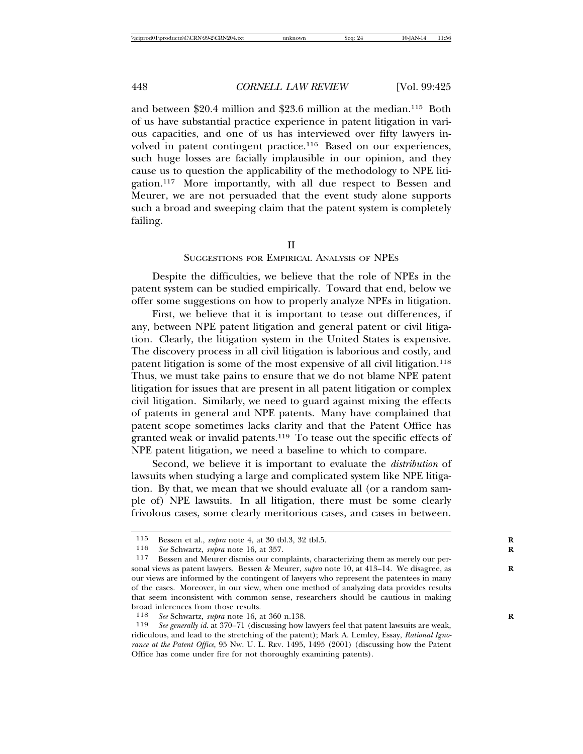and between \$20.4 million and \$23.6 million at the median.115 Both of us have substantial practice experience in patent litigation in various capacities, and one of us has interviewed over fifty lawyers involved in patent contingent practice.<sup>116</sup> Based on our experiences, such huge losses are facially implausible in our opinion, and they cause us to question the applicability of the methodology to NPE litigation.117 More importantly, with all due respect to Bessen and Meurer, we are not persuaded that the event study alone supports such a broad and sweeping claim that the patent system is completely failing.

#### II

# SUGGESTIONS FOR EMPIRICAL ANALYSIS OF NPES

Despite the difficulties, we believe that the role of NPEs in the patent system can be studied empirically. Toward that end, below we offer some suggestions on how to properly analyze NPEs in litigation.

First, we believe that it is important to tease out differences, if any, between NPE patent litigation and general patent or civil litigation. Clearly, the litigation system in the United States is expensive. The discovery process in all civil litigation is laborious and costly, and patent litigation is some of the most expensive of all civil litigation.<sup>118</sup> Thus, we must take pains to ensure that we do not blame NPE patent litigation for issues that are present in all patent litigation or complex civil litigation. Similarly, we need to guard against mixing the effects of patents in general and NPE patents. Many have complained that patent scope sometimes lacks clarity and that the Patent Office has granted weak or invalid patents.119 To tease out the specific effects of NPE patent litigation, we need a baseline to which to compare.

Second, we believe it is important to evaluate the *distribution* of lawsuits when studying a large and complicated system like NPE litigation. By that, we mean that we should evaluate all (or a random sample of) NPE lawsuits. In all litigation, there must be some clearly frivolous cases, some clearly meritorious cases, and cases in between.

<sup>115</sup> Bessen et al., *supra* note 4, at 30 tbl.3, 32 tbl.5.<br>116 See Schwartz, *subra* note 16, at 357

See Schwartz, *supra* note 16, at 357.

<sup>117</sup> Bessen and Meurer dismiss our complaints, characterizing them as merely our personal views as patent lawyers. Bessen & Meurer, *supra* note 10, at 413–14. We disagree, as **R** our views are informed by the contingent of lawyers who represent the patentees in many of the cases. Moreover, in our view, when one method of analyzing data provides results that seem inconsistent with common sense, researchers should be cautious in making broad inferences from those results.<br>118 See Schwartz subra note 16 a

<sup>118</sup> *See* Schwartz, *supra* note 16, at 360 n.138. **R**

<sup>119</sup> *See generally id.* at 370–71 (discussing how lawyers feel that patent lawsuits are weak, ridiculous, and lead to the stretching of the patent); Mark A. Lemley, Essay, *Rational Ignorance at the Patent Office*, 95 NW. U. L. REV. 1495, 1495 (2001) (discussing how the Patent Office has come under fire for not thoroughly examining patents).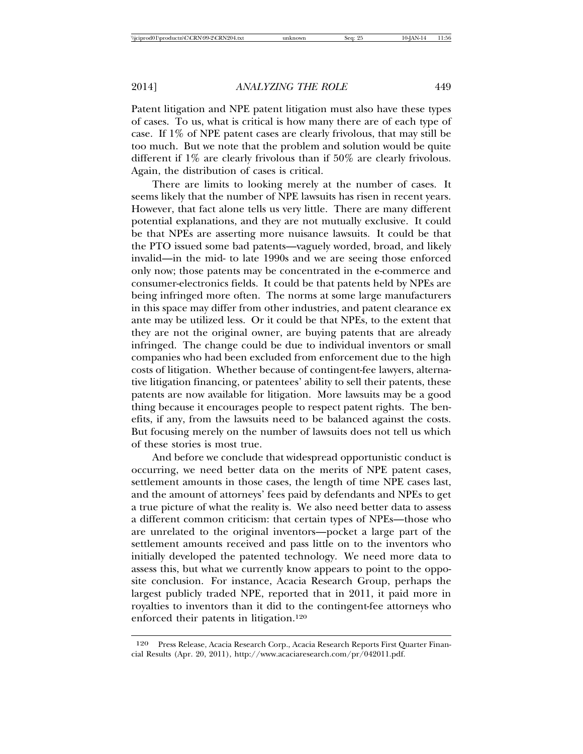Patent litigation and NPE patent litigation must also have these types of cases. To us, what is critical is how many there are of each type of case. If 1% of NPE patent cases are clearly frivolous, that may still be too much. But we note that the problem and solution would be quite different if 1% are clearly frivolous than if 50% are clearly frivolous. Again, the distribution of cases is critical.

There are limits to looking merely at the number of cases. It seems likely that the number of NPE lawsuits has risen in recent years. However, that fact alone tells us very little. There are many different potential explanations, and they are not mutually exclusive. It could be that NPEs are asserting more nuisance lawsuits. It could be that the PTO issued some bad patents—vaguely worded, broad, and likely invalid—in the mid- to late 1990s and we are seeing those enforced only now; those patents may be concentrated in the e-commerce and consumer-electronics fields. It could be that patents held by NPEs are being infringed more often. The norms at some large manufacturers in this space may differ from other industries, and patent clearance ex ante may be utilized less. Or it could be that NPEs, to the extent that they are not the original owner, are buying patents that are already infringed. The change could be due to individual inventors or small companies who had been excluded from enforcement due to the high costs of litigation. Whether because of contingent-fee lawyers, alternative litigation financing, or patentees' ability to sell their patents, these patents are now available for litigation. More lawsuits may be a good thing because it encourages people to respect patent rights. The benefits, if any, from the lawsuits need to be balanced against the costs. But focusing merely on the number of lawsuits does not tell us which of these stories is most true.

And before we conclude that widespread opportunistic conduct is occurring, we need better data on the merits of NPE patent cases, settlement amounts in those cases, the length of time NPE cases last, and the amount of attorneys' fees paid by defendants and NPEs to get a true picture of what the reality is. We also need better data to assess a different common criticism: that certain types of NPEs—those who are unrelated to the original inventors—pocket a large part of the settlement amounts received and pass little on to the inventors who initially developed the patented technology. We need more data to assess this, but what we currently know appears to point to the opposite conclusion. For instance, Acacia Research Group, perhaps the largest publicly traded NPE, reported that in 2011, it paid more in royalties to inventors than it did to the contingent-fee attorneys who enforced their patents in litigation.120

<sup>120</sup> Press Release, Acacia Research Corp., Acacia Research Reports First Quarter Financial Results (Apr. 20, 2011), http://www.acaciaresearch.com/pr/042011.pdf.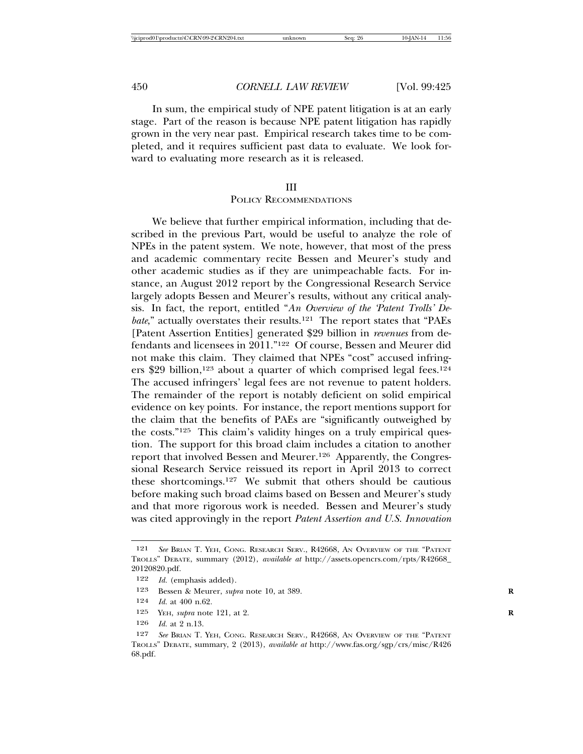In sum, the empirical study of NPE patent litigation is at an early stage. Part of the reason is because NPE patent litigation has rapidly grown in the very near past. Empirical research takes time to be completed, and it requires sufficient past data to evaluate. We look forward to evaluating more research as it is released.

#### III

#### POLICY RECOMMENDATIONS

We believe that further empirical information, including that described in the previous Part, would be useful to analyze the role of NPEs in the patent system. We note, however, that most of the press and academic commentary recite Bessen and Meurer's study and other academic studies as if they are unimpeachable facts. For instance, an August 2012 report by the Congressional Research Service largely adopts Bessen and Meurer's results, without any critical analysis. In fact, the report, entitled "*An Overview of the 'Patent Trolls' Debate*," actually overstates their results.<sup>121</sup> The report states that "PAEs [Patent Assertion Entities] generated \$29 billion in *revenues* from defendants and licensees in 2011."122 Of course, Bessen and Meurer did not make this claim. They claimed that NPEs "cost" accused infringers \$29 billion,<sup>123</sup> about a quarter of which comprised legal fees.<sup>124</sup> The accused infringers' legal fees are not revenue to patent holders. The remainder of the report is notably deficient on solid empirical evidence on key points. For instance, the report mentions support for the claim that the benefits of PAEs are "significantly outweighed by the costs."125 This claim's validity hinges on a truly empirical question. The support for this broad claim includes a citation to another report that involved Bessen and Meurer.<sup>126</sup> Apparently, the Congressional Research Service reissued its report in April 2013 to correct these shortcomings.127 We submit that others should be cautious before making such broad claims based on Bessen and Meurer's study and that more rigorous work is needed. Bessen and Meurer's study was cited approvingly in the report *Patent Assertion and U.S. Innovation*

125 YEH, *supra* note 121, at 2. **R**

<sup>121</sup> *See* BRIAN T. YEH, CONG. RESEARCH SERV., R42668, AN OVERVIEW OF THE "PATENT TROLLS" DEBATE, summary (2012), *available at* http://assets.opencrs.com/rpts/R42668\_ 20120820.pdf.

<sup>122</sup> *Id.* (emphasis added).

<sup>123</sup> Bessen & Meurer, *supra* note 10, at 389. **R**

<sup>124</sup> *Id.* at 400 n.62.

<sup>126</sup> *Id.* at 2 n.13.

<sup>127</sup> *See* BRIAN T. YEH, CONG. RESEARCH SERV., R42668, AN OVERVIEW OF THE "PATENT TROLLS" DEBATE, summary, 2 (2013), *available at* http://www.fas.org/sgp/crs/misc/R426 68.pdf.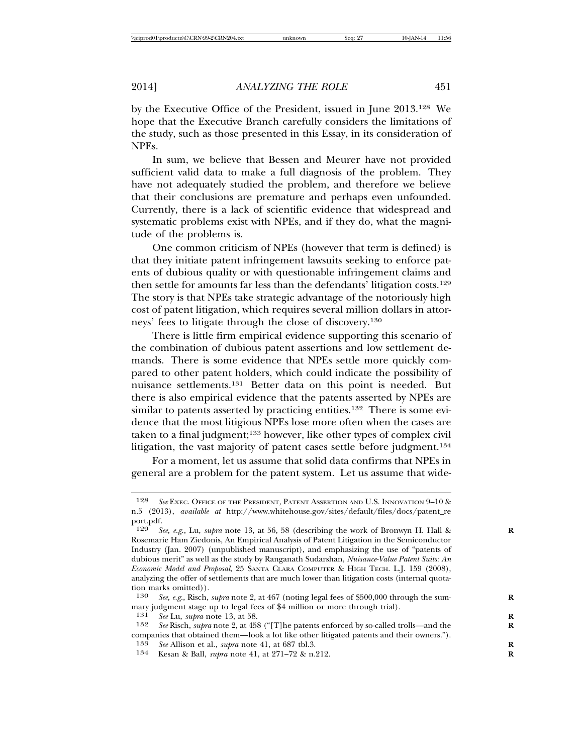by the Executive Office of the President, issued in June 2013.128 We hope that the Executive Branch carefully considers the limitations of the study, such as those presented in this Essay, in its consideration of NPEs.

In sum, we believe that Bessen and Meurer have not provided sufficient valid data to make a full diagnosis of the problem. They have not adequately studied the problem, and therefore we believe that their conclusions are premature and perhaps even unfounded. Currently, there is a lack of scientific evidence that widespread and systematic problems exist with NPEs, and if they do, what the magnitude of the problems is.

One common criticism of NPEs (however that term is defined) is that they initiate patent infringement lawsuits seeking to enforce patents of dubious quality or with questionable infringement claims and then settle for amounts far less than the defendants' litigation costs.129 The story is that NPEs take strategic advantage of the notoriously high cost of patent litigation, which requires several million dollars in attorneys' fees to litigate through the close of discovery.130

There is little firm empirical evidence supporting this scenario of the combination of dubious patent assertions and low settlement demands. There is some evidence that NPEs settle more quickly compared to other patent holders, which could indicate the possibility of nuisance settlements.131 Better data on this point is needed. But there is also empirical evidence that the patents asserted by NPEs are similar to patents asserted by practicing entities.<sup>132</sup> There is some evidence that the most litigious NPEs lose more often when the cases are taken to a final judgment;133 however, like other types of complex civil litigation, the vast majority of patent cases settle before judgment.134

For a moment, let us assume that solid data confirms that NPEs in general are a problem for the patent system. Let us assume that wide-

<sup>128</sup> *See* EXEC. OFFICE OF THE PRESIDENT, PATENT ASSERTION AND U.S. INNOVATION 9–10 & n.5 (2013), *available at* http://www.whitehouse.gov/sites/default/files/docs/patent\_re port.pdf.<br> $\frac{129}{129}$ 

<sup>129</sup> *See, e.g.*, Lu, *supra* note 13, at 56, 58 (describing the work of Bronwyn H. Hall & **R** Rosemarie Ham Ziedonis, An Empirical Analysis of Patent Litigation in the Semiconductor Industry (Jan. 2007) (unpublished manuscript), and emphasizing the use of "patents of dubious merit" as well as the study by Ranganath Sudarshan, *Nuisance-Value Patent Suits: An Economic Model and Proposal*, 25 SANTA CLARA COMPUTER & HIGH TECH. L.J. 159 (2008), analyzing the offer of settlements that are much lower than litigation costs (internal quotation marks omitted)).<br>130 See e.g. Risch.

See, e.g., Risch, *supra* note 2, at 467 (noting legal fees of \$500,000 through the summary judgment stage up to legal fees of \$4 million or more through trial).<br> $131 \text{ SeV} \text{Lu}$  subra note 13 at 58

<sup>131</sup> *See* Lu, *supra* note 13, at 58. **R**

See Risch, *supra* note 2, at 458 ("[T]he patents enforced by so-called trolls—and the companies that obtained them—look a lot like other litigated patents and their owners.").<br> $133 \text{ See}$  Allison et al. subra note 41 at 687 thl 3

<sup>133</sup> *See* Allison et al., *supra* note 41, at 687 tbl.3. **R**

Kesan & Ball, *supra* note 41, at 271-72 & n.212.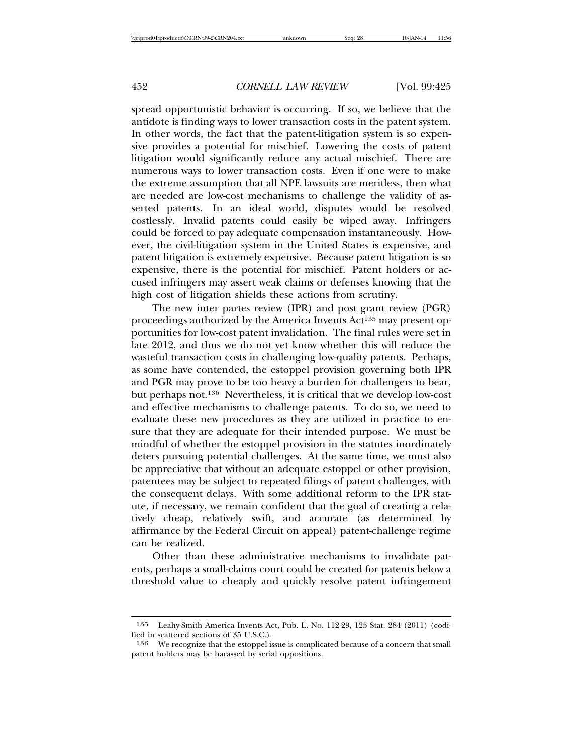spread opportunistic behavior is occurring. If so, we believe that the antidote is finding ways to lower transaction costs in the patent system. In other words, the fact that the patent-litigation system is so expensive provides a potential for mischief. Lowering the costs of patent litigation would significantly reduce any actual mischief. There are numerous ways to lower transaction costs. Even if one were to make the extreme assumption that all NPE lawsuits are meritless, then what are needed are low-cost mechanisms to challenge the validity of asserted patents. In an ideal world, disputes would be resolved costlessly. Invalid patents could easily be wiped away. Infringers could be forced to pay adequate compensation instantaneously. However, the civil-litigation system in the United States is expensive, and patent litigation is extremely expensive. Because patent litigation is so expensive, there is the potential for mischief. Patent holders or accused infringers may assert weak claims or defenses knowing that the high cost of litigation shields these actions from scrutiny.

The new inter partes review (IPR) and post grant review (PGR) proceedings authorized by the America Invents Act<sup>135</sup> may present opportunities for low-cost patent invalidation. The final rules were set in late 2012, and thus we do not yet know whether this will reduce the wasteful transaction costs in challenging low-quality patents. Perhaps, as some have contended, the estoppel provision governing both IPR and PGR may prove to be too heavy a burden for challengers to bear, but perhaps not.136 Nevertheless, it is critical that we develop low-cost and effective mechanisms to challenge patents. To do so, we need to evaluate these new procedures as they are utilized in practice to ensure that they are adequate for their intended purpose. We must be mindful of whether the estoppel provision in the statutes inordinately deters pursuing potential challenges. At the same time, we must also be appreciative that without an adequate estoppel or other provision, patentees may be subject to repeated filings of patent challenges, with the consequent delays. With some additional reform to the IPR statute, if necessary, we remain confident that the goal of creating a relatively cheap, relatively swift, and accurate (as determined by affirmance by the Federal Circuit on appeal) patent-challenge regime can be realized.

Other than these administrative mechanisms to invalidate patents, perhaps a small-claims court could be created for patents below a threshold value to cheaply and quickly resolve patent infringement

<sup>135</sup> Leahy-Smith America Invents Act, Pub. L. No. 112-29, 125 Stat. 284 (2011) (codified in scattered sections of 35 U.S.C.).

<sup>136</sup> We recognize that the estoppel issue is complicated because of a concern that small patent holders may be harassed by serial oppositions.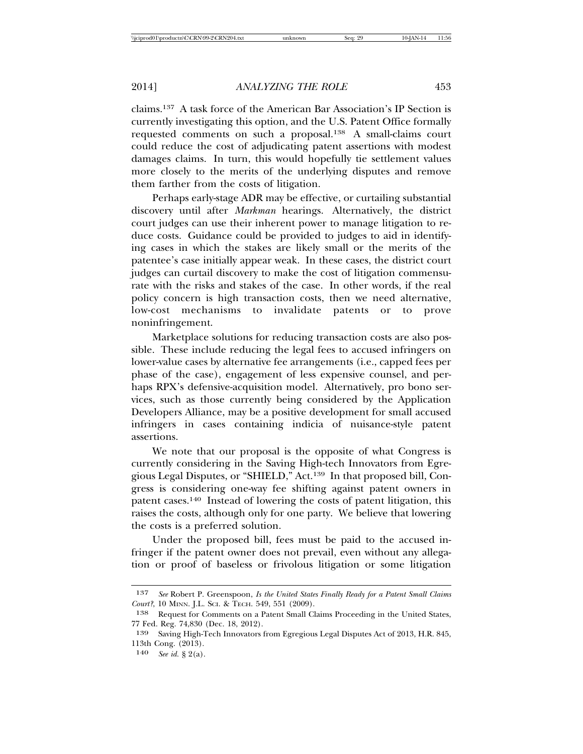claims.137 A task force of the American Bar Association's IP Section is currently investigating this option, and the U.S. Patent Office formally requested comments on such a proposal.138 A small-claims court could reduce the cost of adjudicating patent assertions with modest damages claims. In turn, this would hopefully tie settlement values more closely to the merits of the underlying disputes and remove them farther from the costs of litigation.

Perhaps early-stage ADR may be effective, or curtailing substantial discovery until after *Markman* hearings. Alternatively, the district court judges can use their inherent power to manage litigation to reduce costs. Guidance could be provided to judges to aid in identifying cases in which the stakes are likely small or the merits of the patentee's case initially appear weak. In these cases, the district court judges can curtail discovery to make the cost of litigation commensurate with the risks and stakes of the case. In other words, if the real policy concern is high transaction costs, then we need alternative, low-cost mechanisms to invalidate patents or to prove noninfringement.

Marketplace solutions for reducing transaction costs are also possible. These include reducing the legal fees to accused infringers on lower-value cases by alternative fee arrangements (i.e., capped fees per phase of the case), engagement of less expensive counsel, and perhaps RPX's defensive-acquisition model. Alternatively, pro bono services, such as those currently being considered by the Application Developers Alliance, may be a positive development for small accused infringers in cases containing indicia of nuisance-style patent assertions.

We note that our proposal is the opposite of what Congress is currently considering in the Saving High-tech Innovators from Egregious Legal Disputes, or "SHIELD," Act.139 In that proposed bill, Congress is considering one-way fee shifting against patent owners in patent cases.140 Instead of lowering the costs of patent litigation, this raises the costs, although only for one party. We believe that lowering the costs is a preferred solution.

Under the proposed bill, fees must be paid to the accused infringer if the patent owner does not prevail, even without any allegation or proof of baseless or frivolous litigation or some litigation

<sup>137</sup> *See* Robert P. Greenspoon, *Is the United States Finally Ready for a Patent Small Claims Court?*, 10 MINN. J.L. SCI. & TECH. 549, 551 (2009).

<sup>138</sup> Request for Comments on a Patent Small Claims Proceeding in the United States, 77 Fed. Reg. 74,830 (Dec. 18, 2012).

<sup>139</sup> Saving High-Tech Innovators from Egregious Legal Disputes Act of 2013, H.R. 845, 113th Cong. (2013).

<sup>140</sup> *See id.* § 2(a).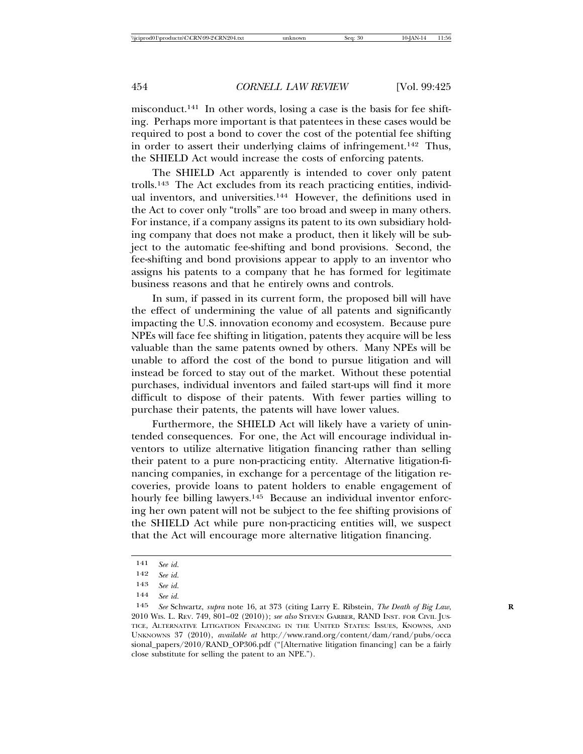misconduct.141 In other words, losing a case is the basis for fee shifting. Perhaps more important is that patentees in these cases would be required to post a bond to cover the cost of the potential fee shifting in order to assert their underlying claims of infringement.142 Thus, the SHIELD Act would increase the costs of enforcing patents.

The SHIELD Act apparently is intended to cover only patent trolls.143 The Act excludes from its reach practicing entities, individual inventors, and universities.<sup>144</sup> However, the definitions used in the Act to cover only "trolls" are too broad and sweep in many others. For instance, if a company assigns its patent to its own subsidiary holding company that does not make a product, then it likely will be subject to the automatic fee-shifting and bond provisions. Second, the fee-shifting and bond provisions appear to apply to an inventor who assigns his patents to a company that he has formed for legitimate business reasons and that he entirely owns and controls.

In sum, if passed in its current form, the proposed bill will have the effect of undermining the value of all patents and significantly impacting the U.S. innovation economy and ecosystem. Because pure NPEs will face fee shifting in litigation, patents they acquire will be less valuable than the same patents owned by others. Many NPEs will be unable to afford the cost of the bond to pursue litigation and will instead be forced to stay out of the market. Without these potential purchases, individual inventors and failed start-ups will find it more difficult to dispose of their patents. With fewer parties willing to purchase their patents, the patents will have lower values.

Furthermore, the SHIELD Act will likely have a variety of unintended consequences. For one, the Act will encourage individual inventors to utilize alternative litigation financing rather than selling their patent to a pure non-practicing entity. Alternative litigation-financing companies, in exchange for a percentage of the litigation recoveries, provide loans to patent holders to enable engagement of hourly fee billing lawyers.<sup>145</sup> Because an individual inventor enforcing her own patent will not be subject to the fee shifting provisions of the SHIELD Act while pure non-practicing entities will, we suspect that the Act will encourage more alternative litigation financing.

<sup>141</sup> *See id.*

<sup>142</sup> *See id.*

See id.

<sup>144</sup> *See id.*

<sup>145</sup> *See* Schwartz, *supra* note 16, at 373 (citing Larry E. Ribstein, *The Death of Big Law*, **R** 2010 WIS. L. REV. 749, 801–02 (2010)); *see also* STEVEN GARBER, RAND INST. FOR CIVIL JUS-TICE, ALTERNATIVE LITIGATION FINANCING IN THE UNITED STATES: ISSUES, KNOWNS, AND UNKNOWNS 37 (2010), *available at* http://www.rand.org/content/dam/rand/pubs/occa sional\_papers/2010/RAND\_OP306.pdf ("[Alternative litigation financing] can be a fairly close substitute for selling the patent to an NPE.").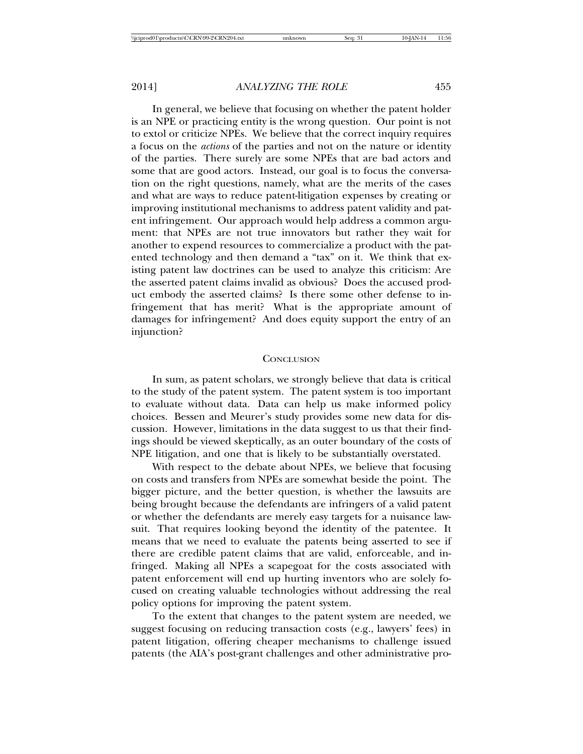In general, we believe that focusing on whether the patent holder is an NPE or practicing entity is the wrong question. Our point is not to extol or criticize NPEs. We believe that the correct inquiry requires a focus on the *actions* of the parties and not on the nature or identity of the parties. There surely are some NPEs that are bad actors and some that are good actors. Instead, our goal is to focus the conversation on the right questions, namely, what are the merits of the cases and what are ways to reduce patent-litigation expenses by creating or improving institutional mechanisms to address patent validity and patent infringement. Our approach would help address a common argument: that NPEs are not true innovators but rather they wait for another to expend resources to commercialize a product with the patented technology and then demand a "tax" on it. We think that existing patent law doctrines can be used to analyze this criticism: Are the asserted patent claims invalid as obvious? Does the accused product embody the asserted claims? Is there some other defense to infringement that has merit? What is the appropriate amount of damages for infringement? And does equity support the entry of an injunction?

### **CONCLUSION**

In sum, as patent scholars, we strongly believe that data is critical to the study of the patent system. The patent system is too important to evaluate without data. Data can help us make informed policy choices. Bessen and Meurer's study provides some new data for discussion. However, limitations in the data suggest to us that their findings should be viewed skeptically, as an outer boundary of the costs of NPE litigation, and one that is likely to be substantially overstated.

With respect to the debate about NPEs, we believe that focusing on costs and transfers from NPEs are somewhat beside the point. The bigger picture, and the better question, is whether the lawsuits are being brought because the defendants are infringers of a valid patent or whether the defendants are merely easy targets for a nuisance lawsuit. That requires looking beyond the identity of the patentee. It means that we need to evaluate the patents being asserted to see if there are credible patent claims that are valid, enforceable, and infringed. Making all NPEs a scapegoat for the costs associated with patent enforcement will end up hurting inventors who are solely focused on creating valuable technologies without addressing the real policy options for improving the patent system.

To the extent that changes to the patent system are needed, we suggest focusing on reducing transaction costs (e.g., lawyers' fees) in patent litigation, offering cheaper mechanisms to challenge issued patents (the AIA's post-grant challenges and other administrative pro-